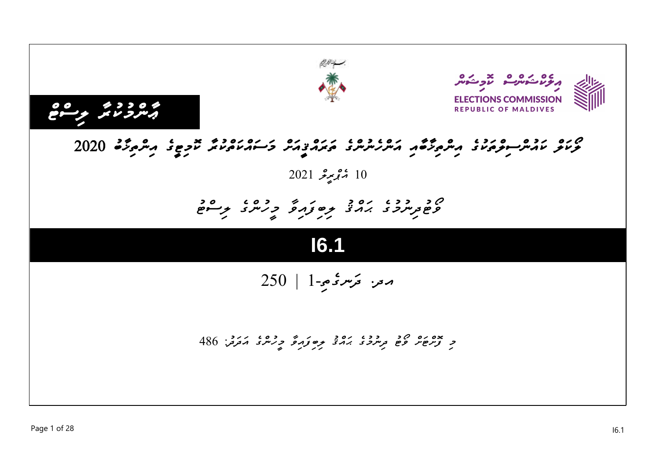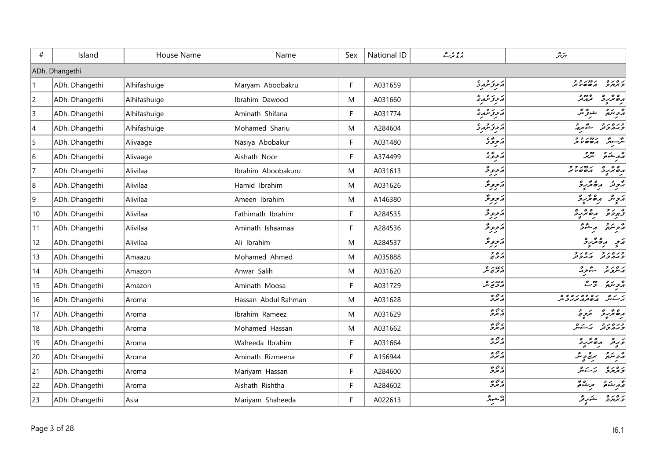| #              | Island         | House Name   | Name                | Sex         | National ID | ، ه ، ره<br>مر، مر              | ىئرىتر                                           |
|----------------|----------------|--------------|---------------------|-------------|-------------|---------------------------------|--------------------------------------------------|
|                | ADh. Dhangethi |              |                     |             |             |                                 |                                                  |
| 1              | ADh. Dhangethi | Alhifashuige | Maryam Aboobakru    | $\mathsf F$ | A031659     | ر<br>مرتز ترمر <sup>ی</sup>     | נחני כ<br>גם סיט זק<br>ر ه ر ه                   |
| $\overline{2}$ | ADh. Dhangethi | Alhifashuige | Ibrahim Dawood      | M           | A031660     | ړ د تر تر د <sup>ي</sup>        | پر دو و<br>تئرار تئر<br>ەرھ ئ <sup>ۆ</sup> ر ۋ   |
| 3              | ADh. Dhangethi | Alhifashuige | Aminath Shifana     | F           | A031774     | ړ برو ترو <sup>ع</sup>          | أأرمز<br>ىشەرگەنگر                               |
| 4              | ADh. Dhangethi | Alhifashuige | Mohamed Shariu      | M           | A284604     | ر و تر تر مر <sup>ج</sup>       | و ر ه ر د<br>تر پر ژ تر                          |
| 5              | ADh. Dhangethi | Alivaage     | Nasiya Abobakur     | F           | A031480     | ە ئورگ                          | נחני כב<br>גם סיטיב                              |
| 6              | ADh. Dhangethi | Alivaage     | Aishath Noor        | F           | A374499     | ە ئورگ                          | دو د<br>سربر<br>لمجمر منشوته                     |
| $\overline{7}$ | ADh. Dhangethi | Alivilaa     | Ibrahim Aboobakuru  | M           | A031613     | تزودتخ                          | ە ھەترىر <sup>ە</sup><br>77/77/                  |
| $\overline{8}$ | ADh. Dhangethi | Alivilaa     | Hamid Ibrahim       | M           | A031626     | تروه قر                         | برّوتر<br>ڔۊؠڒڔۯ                                 |
| 9              | ADh. Dhangethi | Alivilaa     | Ameen Ibrahim       | M           | A146380     | لەَمەم                          | ەھ ئەرج<br>مزج مثر                               |
| 10             | ADh. Dhangethi | Alivilaa     | Fathimath Ibrahim   | F           | A284535     | پر حری                          | ەھ ئۈرۈ<br>ترجوحهم                               |
| 11             | ADh. Dhangethi | Alivilaa     | Aminath Ishaamaa    | F           | A284536     | وكمعرور                         | ەرشەتى<br>أرمر وسره                              |
| 12             | ADh. Dhangethi | Alivilaa     | Ali Ibrahim         | M           | A284537     | وكمعرور                         |                                                  |
| $ 13\rangle$   | ADh. Dhangethi | Amaazu       | Mohamed Ahmed       | M           | A035888     | ەردى                            | پر ور و<br>و ر ه ر د<br>تر پر ژ تر               |
| 14             | ADh. Dhangethi | Amazon       | Anwar Salih         | M           | A031620     | ى يەر ھ<br>مە <del>ر</del> ىخ س | بر 2 پر ج<br>ىبە دەر                             |
| 15             | ADh. Dhangethi | Amazon       | Aminath Moosa       | F           | A031729     | ى يەر ھ<br>مە <del>ر</del> ئى   | ړ د سره                                          |
| 16             | ADh. Dhangethi | Aroma        | Hassan Abdul Rahman | M           | A031628     | ى مى ج.<br>مەنىرى               | ر ه د ه د ه د ه<br>پره تربر تر تر تر<br> برسەمىر |
| 17             | ADh. Dhangethi | Aroma        | Ibrahim Rameez      | M           | A031629     | ی می بر<br>پر بر <del>ر</del>   | ەرھەترىر <sup>ى</sup><br>برَدٍ ح                 |
| 18             | ADh. Dhangethi | Aroma        | Mohamed Hassan      | M           | A031662     | ء ص ه<br> مر سرچ                | و ر ه ر و<br><i>و بر د</i> تر<br>برَسەمىر        |
| 19             | ADh. Dhangethi | Aroma        | Waheeda Ibrahim     | F           | A031664     | ړ ه بور<br>مرمر <del>ت</del> ر  | ەر ھەترىر <i>3</i><br>ءَ ٻه تَرُ                 |
| 20             | ADh. Dhangethi | Aroma        | Aminath Rizmeena    | F           | A156944     | ړ ه بور<br>مرمر <del>ت</del> ر  | ىر چ چە ئىگە<br>ړې سرچ                           |
| 21             | ADh. Dhangethi | Aroma        | Mariyam Hassan      | F           | A284600     | ی می بر<br>پر بر <del>ر</del>   | برَسَهْر<br>ر ه ر ه<br><del>ر</del> بربر ژ       |
| 22             | ADh. Dhangethi | Aroma        | Aishath Rishtha     | F           | A284602     | ی 2.0 و<br>در برگ               | و مر شو د<br>مر<br>برره و                        |
| 23             | ADh. Dhangethi | Asia         | Mariyam Shaheeda    | F           | A022613     | ير<br>مر شەدىر                  | ر ه ر ه<br>د بربرگ                               |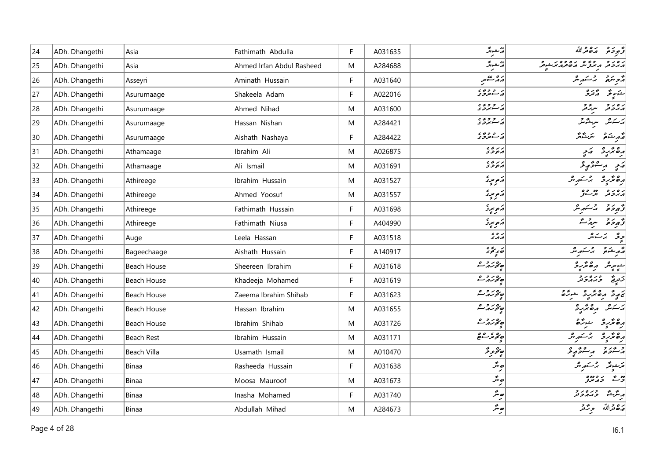| 24 | ADh. Dhangethi | Asia               | Fathimath Abdulla         | F         | A031635 | پیش پیشر                      | ومحدد مقصرالله                                                                                                                                                                                                                                                          |
|----|----------------|--------------------|---------------------------|-----------|---------|-------------------------------|-------------------------------------------------------------------------------------------------------------------------------------------------------------------------------------------------------------------------------------------------------------------------|
| 25 | ADh. Dhangethi | Asia               | Ahmed Irfan Abdul Rasheed | M         | A284688 | پژے پژ                        | ره رو در وره ره وه در مختلفه<br>مرد و تعریف مان مورد مختلفه                                                                                                                                                                                                             |
| 26 | ADh. Dhangethi | Asseyri            | Aminath Hussain           | F.        | A031640 | رو يھ<br>                     | أأترجع بمسكر مثر                                                                                                                                                                                                                                                        |
| 27 | ADh. Dhangethi | Asurumaage         | Shakeela Adam             | F.        | A022016 | ر و و د و و<br>پرسه مور د     | ڪ ئيو گر<br>پەر ە<br>مەنىرى                                                                                                                                                                                                                                             |
| 28 | ADh. Dhangethi | Asurumaage         | Ahmed Nihad               | M         | A031600 | ر و و » »<br>پرستوری          | رەر دىرى                                                                                                                                                                                                                                                                |
| 29 | ADh. Dhangethi | Asurumaage         | Hassan Nishan             | M         | A284421 | ر و و پر د<br>پرستوبر د       | يُرْسَدُسُ سَرِيشُ سُرُ                                                                                                                                                                                                                                                 |
| 30 | ADh. Dhangethi | Asurumaage         | Aishath Nashaya           | F         | A284422 | ر و و ده و<br>پرسه برو د      | دُ مِنْدَمْ سَرَيْدُ رَّ                                                                                                                                                                                                                                                |
| 31 | ADh. Dhangethi | Athamaage          | Ibrahim Ali               | M         | A026875 | ر ر د »<br>پره <del>و</del> د | رە ئۆر ئەير                                                                                                                                                                                                                                                             |
| 32 | ADh. Dhangethi | Athamaage          | Ali Ismail                | ${\sf M}$ | A031691 | بر بر بر بر<br>در بر بر بر    | ړې <sub>مر</sub> ه په دې                                                                                                                                                                                                                                                |
| 33 | ADh. Dhangethi | Athireege          | Ibrahim Hussain           | M         | A031527 | ړ<br>مرموسونه                 | معترج بمنهر                                                                                                                                                                                                                                                             |
| 34 | ADh. Dhangethi | Athireege          | Ahmed Yoosuf              | M         | A031557 | پر<br>پرېږېدنه                | גם גם נכנס<br>הגבוב וקריינ                                                                                                                                                                                                                                              |
| 35 | ADh. Dhangethi | Athireege          | Fathimath Hussain         | F         | A031698 | ر<br>د حومور                  | ۇۋە ئەسىر                                                                                                                                                                                                                                                               |
| 36 | ADh. Dhangethi | Athireege          | Fathimath Niusa           | F         | A404990 | لأحومونه                      | أوالمجمع وأرادتهم والمستنب                                                                                                                                                                                                                                              |
| 37 | ADh. Dhangethi | Auge               | Leela Hassan              | F         | A031518 | بروء                          | پوځ - پر سکر                                                                                                                                                                                                                                                            |
| 38 | ADh. Dhangethi | Bageechaage        | Aishath Hussain           | F         | A140917 | ر<br>صی گوی                   | مەرشىق برىسىر                                                                                                                                                                                                                                                           |
| 39 | ADh. Dhangethi | <b>Beach House</b> | Sheereen Ibrahim          | F.        | A031618 | ە ئۇ ئەمر م                   | شوبرس وهتررو                                                                                                                                                                                                                                                            |
| 40 | ADh. Dhangethi | <b>Beach House</b> | Khadeeja Mohamed          | F         | A031619 | پر پر ژے                      | ر<br>ترمړنځ وبرونډ                                                                                                                                                                                                                                                      |
| 41 | ADh. Dhangethi | <b>Beach House</b> | Zaeema Ibrahim Shihab     | F.        | A031623 | پەنزىر م                      | $\frac{29}{2}$ $\frac{6}{2}$ $\frac{80}{2}$ $\frac{6}{2}$ $\frac{6}{2}$                                                                                                                                                                                                 |
| 42 | ADh. Dhangethi | <b>Beach House</b> | Hassan Ibrahim            | M         | A031655 | ە ئۇ ئەمر م                   | برَسَسٌ مِعْبُرِدٌ                                                                                                                                                                                                                                                      |
| 43 | ADh. Dhangethi | <b>Beach House</b> | Ibrahim Shihab            | M         | A031726 | $\frac{1}{2}$                 | ە ھېڭرىرى<br>بەھ ئىرىرى<br>شەرگەنچ                                                                                                                                                                                                                                      |
| 44 | ADh. Dhangethi | <b>Beach Rest</b>  | Ibrahim Hussain           | M         | A031171 | $rac{1}{2}$                   | ە ھەترىرى<br>برھەترىرى<br>برسىمبرىتى                                                                                                                                                                                                                                    |
| 45 | ADh. Dhangethi | Beach Villa        | Usamath Ismail            | M         | A010470 | ھەمچە <i>م</i> ۇ              | $\stackrel{\circ}{\mathcal{L}}\stackrel{\circ}{\mathcal{L}}\stackrel{\circ}{\mathcal{L}}\stackrel{\circ}{\mathcal{L}}\stackrel{\circ}{\mathcal{L}}\stackrel{\circ}{\mathcal{L}}\stackrel{\circ}{\mathcal{L}}\stackrel{\circ}{\mathcal{L}}\stackrel{\circ}{\mathcal{L}}$ |
| 46 | ADh. Dhangethi | Binaa              | Rasheeda Hussain          | F         | A031638 | ھ سگر                         | ىمەسىم ئەسكىرىك                                                                                                                                                                                                                                                         |
| 47 | ADh. Dhangethi | Binaa              | Moosa Mauroof             | M         | A031673 | حویٹر                         | وو ده دوه                                                                                                                                                                                                                                                               |
| 48 | ADh. Dhangethi | Binaa              | Inasha Mohamed            | F         | A031740 | ھ بڑ                          | ويتثبث<br>و ره ر و<br><i>و پر</i> و تر                                                                                                                                                                                                                                  |
| 49 | ADh. Dhangethi | Binaa              | Abdullah Mihad            | M         | A284673 | حویٹر                         | مَدْهُ مَرْاللّه حرَّمْتَر                                                                                                                                                                                                                                              |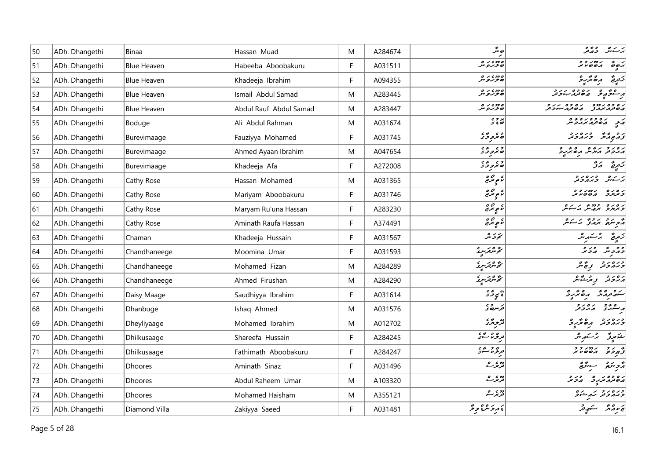| 50 | ADh. Dhangethi | Binaa              | Hassan Muad            | M           | A284674 | ھ سگر                            | ير کے مرکز ورکنز                                                       |
|----|----------------|--------------------|------------------------|-------------|---------|----------------------------------|------------------------------------------------------------------------|
| 51 | ADh. Dhangethi | <b>Blue Heaven</b> | Habeeba Aboobakuru     | $\mathsf F$ | A031511 | ه دد › ر ه<br>ن <i>ه مور</i> و س | برّەة<br>77/77/                                                        |
| 52 | ADh. Dhangethi | <b>Blue Heaven</b> | Khadeeja Ibrahim       | F           | A094355 | ه دو ، ر ه<br>ح <i>ور و</i> س    | رَسٍ مِنْ الْمَحْمَدِ وَ                                               |
| 53 | ADh. Dhangethi | <b>Blue Heaven</b> | Ismail Abdul Samad     | M           | A283445 | ه دو ، ر ه<br>ح <i>ور و</i> س    | ە بەر بەرە دىر دىر<br>مەسىرگە ئەھەمەسىرى                               |
| 54 | ADh. Dhangethi | <b>Blue Heaven</b> | Abdul Rauf Abdul Samad | M           | A283447 | ه دوی ر ه<br><i>ه محرد و</i> س   | ر ם כם גדום מים פים גיב<br>גיסט <i>נג זנ</i> גל המשינג <del>ה</del> כל |
| 55 | ADh. Dhangethi | Boduge             | Ali Abdul Rahman       | M           | A031674 | پر و م<br>حو و                   |                                                                        |
| 56 | ADh. Dhangethi | Burevimaage        | Fauziyya Mohamed       | F           | A031745 | د ،<br>صغر و د د                 | צ'ה באיה בגם גב                                                        |
| 57 | ADh. Dhangethi | Burevimaage        | Ahmed Ayaan Ibrahim    | M           | A047654 | د ،<br>صغر و د د                 | גפגב גוב תם השיקב                                                      |
| 58 | ADh. Dhangethi | Burevimaage        | Khadeeja Afa           | F           | A272008 | د ،<br>صغر و د د                 | أَرَّمَدِيَّ أَمَرَّزُّ                                                |
| 59 | ADh. Dhangethi | Cathy Rose         | Hassan Mohamed         | M           | A031365 |                                  | ير کے درورو                                                            |
| 60 | ADh. Dhangethi | Cathy Rose         | Mariyam Aboobakuru     | F           | A031746 |                                  | 77/27/<br>ر ه ر ه<br><del>د</del> بربرگ                                |
| 61 | ADh. Dhangethi | Cathy Rose         | Maryam Ru'una Hassan   | F           | A283230 |                                  | ג 2000 במג'יל, ג'ילייל,                                                |
| 62 | ADh. Dhangethi | Cathy Rose         | Aminath Raufa Hassan   | F           | A374491 |                                  | أأوسع بملائي بالتكس                                                    |
| 63 | ADh. Dhangethi | Chaman             | Khadeeja Hussain       | $\mathsf F$ | A031567 | ىئەر بىر                         | تزمريعٌ برجستهريش                                                      |
| 64 | ADh. Dhangethi | Chandhaneege       | Moomina Umar           | F           | A031593 | ىر مەبىر س <sub>ى</sub> رى       | وو پر ورو                                                              |
| 65 | ADh. Dhangethi | Chandhaneege       | Mohamed Fizan          | M           | A284289 | ستىش ئىرىدىكى<br>ئىق ئىرىدىكى    | دبرورد رځمر                                                            |
| 66 | ADh. Dhangethi | Chandhaneege       | Ahmed Firushan         | M           | A284290 | ىچە ئىرتى <i>رىنى</i> گە         | برەرد پر چىقىر                                                         |
| 67 | ADh. Dhangethi | Daisy Maage        | Saudhiyya Ibrahim      | F           | A031614 | پر سرچ د<br>  پاسم سرچ د         | בינגית גם מיק                                                          |
| 68 | ADh. Dhangethi | Dhanbuge           | Ishaq Ahmed            | M           | A031576 | ترسره ء                          | ما عريج المركز وراد                                                    |
| 69 | ADh. Dhangethi | Dheyliyaage        | Mohamed Ibrahim        | M           | A012702 | ء،<br>ترمز پر پ                  | و ر ه ر د<br>تر پر تر تر<br>ېر ھ <i>ي</i> تر پر د                      |
| 70 | ADh. Dhangethi | Dhilkusaage        | Shareefa Hussain       | $\mathsf F$ | A284245 | ەر دەر بەي                       | ڪيرڙ گاسگريش                                                           |
| 71 | ADh. Dhangethi | Dhilkusaage        | Fathimath Aboobakuru   | F           | A284247 | ەر 2 2 مىيى<br>مەمۇرىم سىلىمى    | 77/77/7<br>وٌ جو تر ۾                                                  |
| 72 | ADh. Dhangethi | <b>Dhoores</b>     | Aminath Sinaz          | F           | A031496 | دد ۽ ه                           | ومحر سنقرى المسترجي                                                    |
| 73 | ADh. Dhangethi | <b>Dhoores</b>     | Abdul Raheem Umar      | M           | A103320 | دد ،<br>تربر ک                   | נסכם נים בנב                                                           |
| 74 | ADh. Dhangethi | <b>Dhoores</b>     | Mohamed Haisham        | M           | A355121 | ود ۽ ه                           |                                                                        |
| 75 | ADh. Dhangethi | Diamond Villa      | Zakiyya Saeed          | F           | A031481 | } رځ مرنځ عرمحه                  | ىم يەر ئىس كىر                                                         |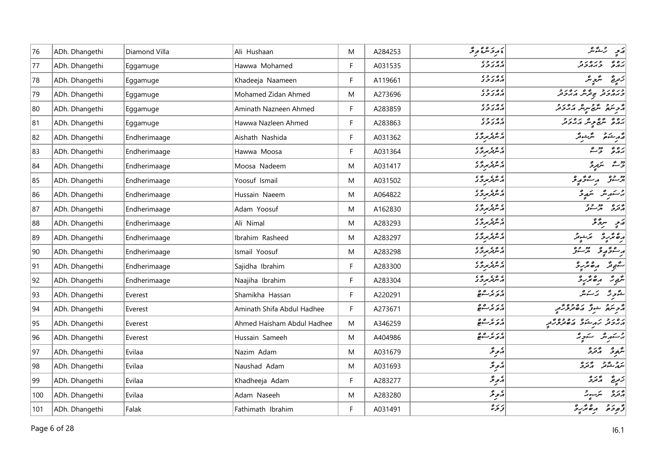| 76           | ADh. Dhangethi | Diamond Villa | Ali Hushaan                | M         | A284253 | ا ئەر ئەنگە ئوقر                         | أوسمج المحفظ                                                       |
|--------------|----------------|---------------|----------------------------|-----------|---------|------------------------------------------|--------------------------------------------------------------------|
| 77           | ADh. Dhangethi | Eggamuge      | Hawwa Mohamed              | F         | A031535 | e o v o c<br>KREE E                      | برەپچ<br>و ره ر و<br><i>و پر</i> و تر                              |
| 78           | ADh. Dhangethi | Eggamuge      | Khadeeja Naameen           | F         | A119661 | e o u o c<br>E a sunt                    | کر تعریج<br> <br> <br>ىئزىچە ئىر                                   |
| 79           | ADh. Dhangethi | Eggamuge      | Mohamed Zidan Ahmed        | M         | A273696 | ، ه ر و ،<br>پر پر پر پ                  | ورەر دېدىرە رەر دې<br><i>دىد</i> رونر   ي <sub>و</sub> ترس تەپرونر |
| 80           | ADh. Dhangethi | Eggamuge      | Aminath Nazneen Ahmed      | F         | A283859 | 55500                                    | أأو منهج منهج مبرهر المدوند                                        |
| 81           | ADh. Dhangethi | Eggamuge      | Hawwa Nazleen Ahmed        | F         | A283863 | ، ه ر و ،<br>پرو ژو ژ                    | ره و همه ده بره د و<br>بروغ شهو شرکتر در د                         |
| 82           | ADh. Dhangethi | Endherimaage  | Aishath Nashida            | F         | A031362 | ى مەمۇرى <i>رى</i><br>مەمۇرىرى <i>رى</i> | وكرماكم المراكب                                                    |
| 83           | ADh. Dhangethi | Endherimaage  | Hawwa Moosa                | F         | A031364 | ې ه ډېر دي.<br>مرمرکز                    | برە پە<br>دو مح                                                    |
| 84           | ADh. Dhangethi | Endherimaage  | Moosa Nadeem               | ${\sf M}$ | A031417 | ە مەمگە <i>بەر ئ</i>                     | اتر مشتر م<br>سرمرو                                                |
| 85           | ADh. Dhangethi | Endherimaage  | Yoosuf Ismail              | ${\sf M}$ | A031502 | ، مەئىرىرى <i>چ</i>                      | برىشۇرچۇ<br>دد و ه<br>در سور                                       |
| 86           | ADh. Dhangethi | Endherimaage  | Hussain Naeem              | M         | A064822 | ې ه په په په<br>مرمرمرنژۍ                | جر شهر شمير و                                                      |
| 87           | ADh. Dhangethi | Endherimaage  | Adam Yoosuf                | M         | A162830 | ې ه وې په وي<br>مرمرکز تر                | دد به در<br>په ره<br>درگرو                                         |
| 88           | ADh. Dhangethi | Endherimaage  | Ali Nimal                  | M         | A283293 | ې ده په په په<br>مرمرمرد ک               | أەيج سرەم و                                                        |
| 89           | ADh. Dhangethi | Endherimaage  | Ibrahim Rasheed            | ${\sf M}$ | A283297 | ى مەمۇرى <i>رى</i><br>مەمۇرىرى <i>رى</i> | ەر ھەترىر <i>2</i><br>ىمەسىيەتىر                                   |
| $ 90\rangle$ | ADh. Dhangethi | Endherimaage  | Ismail Yoosuf              | ${\sf M}$ | A283298 | ، مەئىرىرى <i>چ</i>                      | ەرسەۋە ھ <sub>ە</sub> جەم دەر                                      |
| 91           | ADh. Dhangethi | Endherimaage  | Sajidha Ibrahim            | F         | A283300 | ى مەمۇرى <i>رى</i><br>مەمۇرىرى <i>رى</i> | ر<br>سەھ <sub>ى</sub> رىگر<br>ەرھەترىر <sup>ى</sup>                |
| 92           | ADh. Dhangethi | Endherimaage  | Naajiha Ibrahim            | F         | A283304 | ې ه پېړۍ ته <sup>د</sup>                 | تتربر شهر المسترارد                                                |
| 93           | ADh. Dhangethi | Everest       | Shamikha Hassan            | F         | A220291 | ې پر په ده ه<br>مرغ مرسو                 | حثمور كالكامل                                                      |
| 94           | ADh. Dhangethi | Everest       | Aminath Shifa Abdul Hadhee | F         | A273671 | ې په په ده ه<br>مرغ مرسو                 | ە ئەسكە ئىسىرى مەمەرى ئەر                                          |
| 95           | ADh. Dhangethi | Everest       | Ahmed Haisham Abdul Hadhee | ${\sf M}$ | A346259 | ې پر په ه ه<br>مرغ مرسو                  | ره رو تهریشو مەمدورگېږ                                             |
| 96           | ADh. Dhangethi | Everest       | Hussain Sameeh             | M         | A404986 | ې په په ده ه<br>مرغ مرسو                 | يزختهر شديدها المستور                                              |
| 97           | ADh. Dhangethi | Evilaa        | Nazim Adam                 | ${\sf M}$ | A031679 | ومعرقحه                                  | بتزوجه ومحرده                                                      |
| 98           | ADh. Dhangethi | Evilaa        | Naushad Adam               | ${\sf M}$ | A031693 | ې مرغه<br>مرم                            | برو و و دره<br>سرم شوتر مرکزو                                      |
| 99           | ADh. Dhangethi | Evilaa        | Khadheeja Adam             | F         | A283277 | ې مرغه<br>مرغب                           | پور ہ<br>مرکزو<br>  ترموقح                                         |
| 100          | ADh. Dhangethi | Evilaa        | Adam Naseeh                | M         | A283280 | پر عر                                    | پور ہ<br>پرتونژ<br>ىئەسبەر                                         |
| 101          | ADh. Dhangethi | Falak         | Fathimath Ibrahim          | F         | A031491 | ۇ ئە                                     | ژوده مقترره                                                        |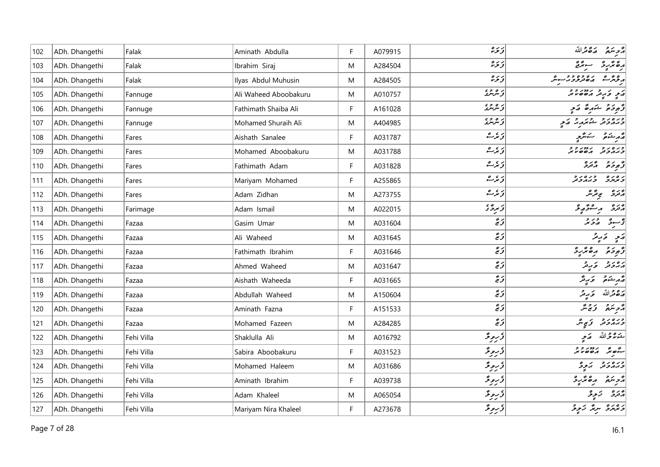| 102 | ADh. Dhangethi | Falak      | Aminath Abdulla       | F         | A079915 | ۇ ئە                       | محر سَعِدِ مَصْرَاللّهِ                                         |
|-----|----------------|------------|-----------------------|-----------|---------|----------------------------|-----------------------------------------------------------------|
| 103 | ADh. Dhangethi | Falak      | Ibrahim Siraj         | M         | A284504 | ۇ ئە                       | وەنزىر سىز                                                      |
| 104 | ADh. Dhangethi | Falak      | Ilyas Abdul Muhusin   | ${\sf M}$ | A284505 | ۇ ئە                       | ره ده دو به سورته<br>پره ترو تر بر سورته                        |
| 105 | ADh. Dhangethi | Fannuge    | Ali Waheed Aboobakuru | M         | A010757 | ۇ ئەرىرى                   | ג׳ב פֿגַב גמסטע                                                 |
| 106 | ADh. Dhangethi | Fannuge    | Fathimath Shaiba Ali  | F         | A161028 | ىر ھ <sub>ە</sub> رى       | توجوده خنهرة كالمج                                              |
| 107 | ADh. Dhangethi | Fannuge    | Mohamed Shuraih Ali   | M         | A404985 | ر ه و ،<br>و مرس           | ورەرو شەركرى كو                                                 |
| 108 | ADh. Dhangethi | Fares      | Aishath Sanalee       | F         | A031787 | ر پر ہ                     | ۇرىشى سەئىر                                                     |
| 109 | ADh. Dhangethi | Fares      | Mohamed Aboobakuru    | ${\sf M}$ | A031788 | ۇ ئۈر ھ                    | כנסנכ נחנכב<br>קמתכת <mark>מ</mark> ססטי <i>ת</i>               |
| 110 | ADh. Dhangethi | Fares      | Fathimath Adam        | F         | A031828 | ئە ئىر شە                  | پھر ہ<br>مرکز<br>ا تو بر در<br>ا                                |
| 111 | ADh. Dhangethi | Fares      | Mariyam Mohamed       | F         | A255865 | ترىژىشە                    | ر ه ر ه<br><del>ر</del> بربر ژ<br>و ر ه ر و<br><i>و پر</i> و تر |
| 112 | ADh. Dhangethi | Fares      | Adam Zidhan           | M         | A273755 | تر ټر ٿ                    | پە بەرە<br>مەنىرى<br>ىبوترىتر                                   |
| 113 | ADh. Dhangethi | Farimage   | Adam Ismail           | M         | A022015 | ئەبىردىگە                  | په ره<br>د ترو<br>ەرسىۋەپەي                                     |
| 114 | ADh. Dhangethi | Fazaa      | Gasim Umar            | M         | A031604 | ترتج                       | و ر و<br>در د بر<br>ېچ سوچ<br>خ                                 |
| 115 | ADh. Dhangethi | Fazaa      | Ali Waheed            | ${\sf M}$ | A031645 | ترتج                       | أة مح تم تحديثر                                                 |
| 116 | ADh. Dhangethi | Fazaa      | Fathimath Ibrahim     | F         | A031646 | تریخ                       |                                                                 |
| 117 | ADh. Dhangethi | Fazaa      | Ahmed Waheed          | ${\sf M}$ | A031647 | ترتج                       | أزورو كالميتر                                                   |
| 118 | ADh. Dhangethi | Fazaa      | Aishath Waheeda       | F         | A031665 | ترتج                       | أقهر شكافها وكالمحافية                                          |
| 119 | ADh. Dhangethi | Fazaa      | Abdullah Waheed       | M         | A150604 | ترتج                       | <mark>بر22</mark> الله<br>ئە بەر<br>ئ                           |
| 120 | ADh. Dhangethi | Fazaa      | Aminath Fazna         | F         | A151533 | ترتج                       | أأروسكم وكالحماش                                                |
| 121 | ADh. Dhangethi | Fazaa      | Mohamed Fazeen        | ${\sf M}$ | A284285 | تريج                       | درەرد زېږ                                                       |
| 122 | ADh. Dhangethi | Fehi Villa | Shaklulla Ali         | ${\sf M}$ | A016792 | ۇروڭر                      | خَصَّ عَمَدَ اللَّهُ مَعِيدِ                                    |
| 123 | ADh. Dhangethi | Fehi Villa | Sabira Aboobakuru     | F         | A031523 | ۇروڭ                       | 777777207                                                       |
| 124 | ADh. Dhangethi | Fehi Villa | Mohamed Haleem        | ${\sf M}$ | A031686 | ۇر <sub>ەم</sub> ۇ         | وبرورو يهود                                                     |
| 125 | ADh. Dhangethi | Fehi Villa | Aminath Ibrahim       | F         | A039738 | ۇروڭ <sub>ى</sub>          | 5/700<br>أروسم                                                  |
| 126 | ADh. Dhangethi | Fehi Villa | Adam Khaleel          | M         | A065054 | ا در مرگ<br>س <u>سر بر</u> | ەردە                                                            |
| 127 | ADh. Dhangethi | Fehi Villa | Mariyam Nira Khaleel  | F         | A273678 | ۇروگ                       | دورو سر تکوی                                                    |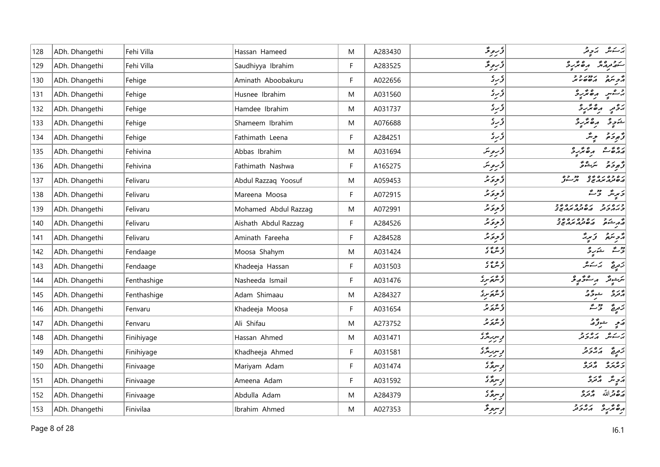| 128 | ADh. Dhangethi | Fehi Villa  | Hassan Hameed        | M  | A283430 | ۇر <sub>ەر</sub> ۇ<br>مەم       | ير سكند كرا المركز بر                                      |
|-----|----------------|-------------|----------------------|----|---------|---------------------------------|------------------------------------------------------------|
| 129 | ADh. Dhangethi | Fehi Villa  | Saudhiyya Ibrahim    | F. | A283525 | ۇر <sub>ەر</sub> ۇ              | سەر تەرەر ئور<br>ەھ تۈرۈ                                   |
| 130 | ADh. Dhangethi | Fehige      | Aminath Aboobakuru   | F. | A022656 | ې<br>توريخ                      | נכני כ<br>גם סיטיב<br>لجمع ينزد                            |
| 131 | ADh. Dhangethi | Fehige      | Husnee Ibrahim       | M  | A031560 | ې<br>تور <sub>ک</sub>           | دە ئۈرۈ<br>جر مش <sub>میں</sub><br>پخ                      |
| 132 | ADh. Dhangethi | Fehige      | Hamdee Ibrahim       | M  | A031737 | ې<br>ورځ                        | ڔۛۨ۠۠ڡؠڒڔۯ<br>برومر                                        |
| 133 | ADh. Dhangethi | Fehige      | Shameem Ibrahim      | M  | A076688 | ې<br>توريخ                      | دە ئەرد<br>ڪو و                                            |
| 134 | ADh. Dhangethi | Fehige      | Fathimath Leena      | F  | A284251 | ې<br>توريخ                      | ىرىتر<br>و بر د<br>ترموح م                                 |
| 135 | ADh. Dhangethi | Fehivina    | Abbas Ibrahim        | M  | A031694 | ۇر <sub>چە مى</sub> ر<br>م      | 25.77<br>مەھمەرد                                           |
| 136 | ADh. Dhangethi | Fehivina    | Fathimath Nashwa     | F  | A165275 | ۇر <sub>چوىتى</sub>             | و د د سره و                                                |
| 137 | ADh. Dhangethi | Felivaru    | Abdul Razzaq Yoosuf  | M  | A059453 | ۇ مەمۇ ئىر                      | ן 3 כ 3 ג 3 ג 3<br>ג ס בק ג 4 ג ג ג ב<br>دد په دو          |
| 138 | ADh. Dhangethi | Felivaru    | Mareena Moosa        | F. | A072915 | ۇ مەر جە                        | ۇ پر شەرق ئە                                               |
| 139 | ADh. Dhangethi | Felivaru    | Mohamed Abdul Razzag | M  | A072991 | وٌموءَ ترُ                      | כנסני נסיפונים בי<br>כגובית וגישיתו אנאי                   |
| 140 | ADh. Dhangethi | Felivaru    | Aishath Abdul Razzag | F  | A284526 | ؤمرة بز                         | גם כם גם בב<br>גם <i>בנ</i> ג <i>ב</i> ג ב<br>پر<br>در شوه |
| 141 | ADh. Dhangethi | Felivaru    | Aminath Fareeha      | F  | A284528 | وٌموءَ بُرُ                     | مەر ئىر ئىر ئى                                             |
| 142 | ADh. Dhangethi | Fendaage    | Moosa Shahym         | M  | A031424 | ې د د ›<br>تر سره د             | وتر محر<br>ے کہ رہ<br>خ                                    |
| 143 | ADh. Dhangethi | Fendaage    | Khadeeja Hassan      | F. | A031503 | ، چه پر<br>توسره <sub>م</sub> ح | برسەيىتىر<br>ترىرىتى<br>ئە                                 |
| 144 | ADh. Dhangethi | Fenthashige | Nasheeda Ismail      | F. | A031476 | ۇ يىھۇ بىرگە                    | وستوفيقى<br>ىكرىشونگر<br>ئ                                 |
| 145 | ADh. Dhangethi | Fenthashige | Adam Shimaau         | M  | A284327 | ۇ شۇ بىرى                       | پور ہ<br>مرکز<br>شوڅ ژ                                     |
| 146 | ADh. Dhangethi | Fenvaru     | Khadeeja Moosa       | F. | A031654 | ې ۵ پر د                        | درمیز<br>ئرىرىچ<br>س                                       |
| 147 | ADh. Dhangethi | Fenvaru     | Ali Shifau           | M  | A273752 | ې ۵ پر د                        | أرشم المستوقد                                              |
| 148 | ADh. Dhangethi | Finihiyage  | Hassan Ahmed         | M  | A031471 | او سربر پوءِ<br>اب سربرگ        | ير کيمش اور د ور                                           |
| 149 | ADh. Dhangethi | Finihiyage  | Khadheeja Ahmed      | F  | A031581 | و سور پوء<br><u>مر</u> د بر     | پرور و<br>نزمرچٌ                                           |
| 150 | ADh. Dhangethi | Finivaage   | Mariyam Adam         | F  | A031474 | و سرچ ی<br>تر سرچ ت             | ر ه ر ه<br><del>ر</del> بربر ژ<br>پور ہ<br>مرکزو           |
| 151 | ADh. Dhangethi | Finivaage   | Ameena Adam          | F  | A031592 | اوسرچء<br>اوسرچو                | پرٔ چینگر<br>پور ہ<br>مرتزو                                |
| 152 | ADh. Dhangethi | Finivaage   | Abdulla Adam         | M  | A284379 | وسرچء                           | ەھىراللە<br>پە رە<br>مەنىرى                                |
| 153 | ADh. Dhangethi | Finivilaa   | Ibrahim Ahmed        | M  | A027353 | و سر <sub>جو</sub> محر          | وه عرب و دورو                                              |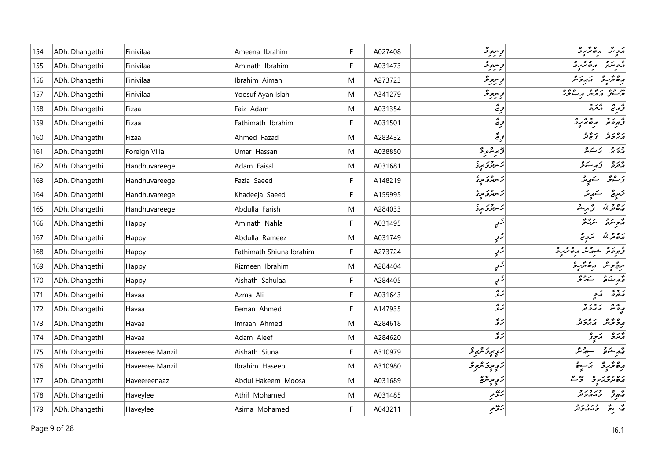| 154 | ADh. Dhangethi | Finivilaa       | Ameena Ibrahim           | F         | A027408 | او سره څه<br><u>سب</u>                       | وە ئەربە<br>ړ په پژ                           |
|-----|----------------|-----------------|--------------------------|-----------|---------|----------------------------------------------|-----------------------------------------------|
| 155 | ADh. Dhangethi | Finivilaa       | Aminath Ibrahim          | F         | A031473 | او سره څه<br><u>پ</u>                        | ەھ ئرىر<br>پر بر د<br>مرد سره                 |
| 156 | ADh. Dhangethi | Finivilaa       | Ibrahim Aiman            | M         | A273723 | اوسعوڅه<br>ڪ                                 | 5, 7, 8, 1                                    |
| 157 | ADh. Dhangethi | Finivilaa       | Yoosuf Ayan Islah        | M         | A341279 | ار سره څه<br><u>پ</u>                        | מ כם גם פים<br>ת—تو התייל ה-יבג               |
| 158 | ADh. Dhangethi | Fizaa           | Faiz Adam                | M         | A031354 | وپچ                                          | وٌ پر په پره<br>وگړي گمنگر                    |
| 159 | ADh. Dhangethi | Fizaa           | Fathimath Ibrahim        | F         | A031501 | وچٌ                                          | وە ئۆرۈ<br>و څې پر د                          |
| 160 | ADh. Dhangethi | Fizaa           | Ahmed Fazad              | M         | A283432 | ومجّ                                         | ىر 2 مەر<br>مەشرىق قىل<br>ر بر د<br>تو بر تعر |
| 161 | ADh. Dhangethi | Foreign Villa   | Umar Hassan              | ${\sf M}$ | A038850 | ۇ برى <sub>گى</sub> رۇ                       | برسەچر<br>ەرىر                                |
| 162 | ADh. Dhangethi | Handhuvareege   | Adam Faisal              | M         | A031681 | ر سرچر <sub>سر</sub> ج                       | پژنرو<br>تەرىبىۋ                              |
| 163 | ADh. Dhangethi | Handhuvareege   | Fazla Saeed              | F         | A148219 | ئەسە <i>تى ئە</i> رى                         | ترشۇ<br>سە پە تەر                             |
| 164 | ADh. Dhangethi | Handhuvareege   | Khadeeja Saeed           | F.        | A159995 | ئەس <i>ىترى بى</i> رى                        | ئرتورنج<br>م<br>سەھەقىر                       |
| 165 | ADh. Dhangethi | Handhuvareege   | Abdulla Farish           | M         | A284033 | ئەسە <i>تى</i> كەسىرىگە                      | ەھىراللە<br>وٌ بريشه                          |
| 166 | ADh. Dhangethi | Happy           | Aminath Nahla            | F         | A031495 | اع پو                                        | سرە بۇ<br>أأرمز                               |
| 167 | ADh. Dhangethi | Happy           | Abdulla Rameez           | M         | A031749 | ایتمچ                                        | برە قراللە<br>بمرحرم                          |
| 168 | ADh. Dhangethi | Happy           | Fathimath Shiuna Ibrahim | F         | A273724 | اءِ<br>سيڪ                                   |                                               |
| 169 | ADh. Dhangethi | Happy           | Rizmeen Ibrahim          | M         | A284404 | اءِ آپ<br>سرچ                                | ە ھەتتىر ۋ<br>ىر چ <sub>ى</sub> چە بىر<br>م   |
| 170 | ADh. Dhangethi | Happy           | Aishath Sahulaa          | F         | A284405 | اپى<br>سىر                                   |                                               |
| 171 | ADh. Dhangethi | Havaa           | Azma Ali                 | F         | A031643 | رپچ                                          | $\frac{1}{2}$ $\frac{2}{3}$                   |
| 172 | ADh. Dhangethi | Havaa           | Eeman Ahmed              | F.        | A147935 | رپچ                                          | ەر بەر ج<br>  پرځ مثر                         |
| 173 | ADh. Dhangethi | Havaa           | Imraan Ahmed             | M         | A284618 | ری                                           | وپە ئەتكە<br>پرور و                           |
| 174 | ADh. Dhangethi | Havaa           | Adam Aleef               | M         | A284620 | ری                                           | پر پر پر پروژ                                 |
| 175 | ADh. Dhangethi | Haveeree Manzil | Aishath Siuna            | F         | A310979 | ر <sub>َءٍ برِ دَ مْر<sub>ْبح</sub> وْ</sub> | ر<br>د گهر شکوی<br>سىدىمىگە                   |
| 176 | ADh. Dhangethi | Haveeree Manzil | Ibrahim Haseeb           | M         | A310980 | ائەپە پەرتىرى                                | ەرھ ئ <sup>ۆ</sup> ر ۋ<br>برسة                |
| 177 | ADh. Dhangethi | Haveereenaaz    | Abdul Hakeem Moosa       | ${\sf M}$ | A031689 | ئە <sub>ھە</sub> بىر ئ <sup>ىرى</sup> ج      | ره وه ر<br>په قربر بر د<br>ديو مشر            |
| 178 | ADh. Dhangethi | Haveylee        | Athif Mohamed            | M         | A031485 | رييمو                                        | و ره ر د<br><i>د ب</i> رگرفر<br>ومجوفر        |
| 179 | ADh. Dhangethi | Haveylee        | Asima Mohamed            | F.        | A043211 | رەيە<br>رەبىر                                | و ر ه ر و<br><i>و ټ</i> رو تر<br>رژب ژ        |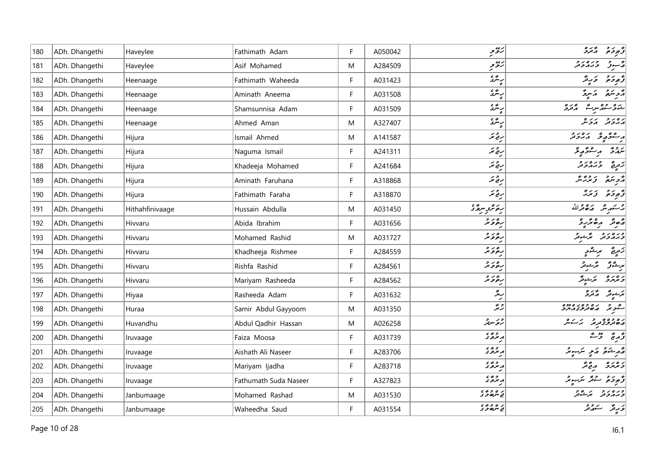| 180 | ADh. Dhangethi | Haveylee        | Fathimath Adam        | F  | A050042 | رەيە<br>رەخ                  | 312 3123                                         |
|-----|----------------|-----------------|-----------------------|----|---------|------------------------------|--------------------------------------------------|
| 181 | ADh. Dhangethi | Haveylee        | Asif Mohamed          | M  | A284509 | ريىپىر                       | پ <sup>ر</sup> سبز تر<br>و ر ه ر د<br>تربر تر تر |
| 182 | ADh. Dhangethi | Heenaage        | Fathimath Waheeda     | F  | A031423 | ر پڻري<br>په                 | وٌمورَمُ<br>ءَ ٻه پڻر                            |
| 183 | ADh. Dhangethi | Heenaage        | Aminath Aneema        | F  | A031508 | رپٹرند                       | أأترسكم أأسرقه                                   |
| 184 | ADh. Dhangethi | Heenaage        | Shamsunnisa Adam      | F  | A031509 | ر پٿري<br>پوس                | دره وه در په پوره<br>شوو خوړ سر په ورود          |
| 185 | ADh. Dhangethi | Heenaage        | Ahmed Aman            | M  | A327407 | ر پڻري<br>په                 | أرەر دىر ھ                                       |
| 186 | ADh. Dhangethi | Hijura          | Ismail Ahmed          | M  | A141587 | رقح تز                       | وراءة ويداد                                      |
| 187 | ADh. Dhangethi | Hijura          | Naguma Ismail         | F  | A241311 | رقح تئر                      | يَرْدَ مِنْ مِرْ مِرْ مِرْ                       |
| 188 | ADh. Dhangethi | Hijura          | Khadeeja Mohamed      | F  | A241684 | رقح تز                       | ر دره دره در<br>زمړنځ ورودن                      |
| 189 | ADh. Dhangethi | Hijura          | Aminath Faruhana      | F  | A318868 | ىرقى ئىز                     | أزويتم وترومي                                    |
| 190 | ADh. Dhangethi | Hijura          | Fathimath Faraha      | F. | A318870 | ىرقى تىر                     | وتجوخر وترتر                                     |
| 191 | ADh. Dhangethi | Hithahfinivaage | Hussain Abdulla       | M  | A031450 | رە ئ <sub>ىرىم</sub> بىر ئەس | جرسكوريثر الكاهر الله                            |
| 192 | ADh. Dhangethi | Hivvaru         | Abida Ibrahim         | F  | A031656 | لرەدىر                       | مُعِدَّ مُعَدَّرِ                                |
| 193 | ADh. Dhangethi | Hivvaru         | Mohamed Rashid        | M  | A031727 | رە دېر                       | ورەرو گرىنون                                     |
| 194 | ADh. Dhangethi | Hivvaru         | Khadheeja Rishmee     | F  | A284559 | رە دىر                       | زَمِرِجَ مِرِشْوِرٍ                              |
| 195 | ADh. Dhangethi | Hivvaru         | Rishfa Rashid         | F  | A284561 | ە د د<br>بەھ بىر             | برے وگر مگر شونڈ<br>پر شوکر                      |
| 196 | ADh. Dhangethi | Hivvaru         | Mariyam Rasheeda      | F  | A284562 | رە ئەر                       | و و ر و سر پر شونگر                              |
| 197 | ADh. Dhangethi | Hiyaa           | Rasheeda Adam         | F. | A031632 | رېژ                          | ىرىشونر مەنزۈ                                    |
| 198 | ADh. Dhangethi | Huraa           | Samir Abdul Gayyoom   | M  | A031350 | رمیٹر                        | د ده ده ده ده ده ده ده د                         |
| 199 | ADh. Dhangethi | Huvandhu        | Abdul Qadhir Hassan   | M  | A026258 | ر در سرچر                    | رە دەپرى ئەسەر                                   |
| 200 | ADh. Dhangethi | Iruvaage        | Faiza Moosa           | F  | A031739 | د ۶۶۶<br>د مرحو ی            | $\begin{array}{cc} 2 & 2 \\ -2 & 6 \end{array}$  |
| 201 | ADh. Dhangethi | Iruvaage        | Aishath Ali Naseer    | F  | A283706 | د وه ،<br>د برو د            |                                                  |
| 202 | ADh. Dhangethi | Iruvaage        | Mariyam ljadha        | F  | A283718 | د ۶۶۶<br>د بورو د            |                                                  |
| 203 | ADh. Dhangethi | Iruvaage        | Fathumath Suda Naseer | F  | A327823 | د ۶۶۶<br>د بوړۍ              | أزُهْ وَهُ صَفَرٌ مَرْسِوِيْرٌ                   |
| 204 | ADh. Dhangethi | Janbumaage      | Mohamed Rashad        | M  | A031530 | پر ۵ ۶ ۶ پ                   | ورەرو كەشگە<br><i>جەمەدىر</i> كەشگەر             |
| 205 | ADh. Dhangethi | Janbumaage      | Waheedha Saud         | F  | A031554 | ر ه د و و ،<br>د سره تر د    | كەرلىق سەھەتىر                                   |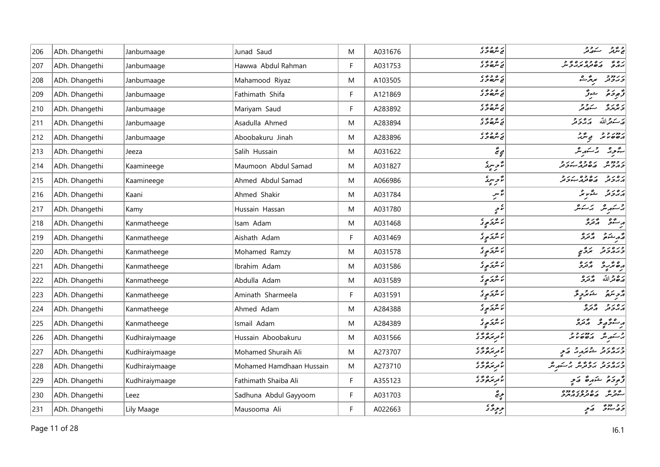| 206 | ADh. Dhangethi | Janbumaage     | Junad Saud               | M           | A031676 | ر ه د و و ،<br>تع سرچ تر ی             | و پر و<br>بع سرگر<br>سە چە تىر                            |
|-----|----------------|----------------|--------------------------|-------------|---------|----------------------------------------|-----------------------------------------------------------|
| 207 | ADh. Dhangethi | Janbumaage     | Hawwa Abdul Rahman       | F           | A031753 | ر ه د و »<br>تع سرچ تر د               | برەپچ<br>ر ه و ه د ه د و<br>پره تر پر تر س                |
| 208 | ADh. Dhangethi | Janbumaage     | Mahamood Riyaz           | M           | A103505 | ر ه د و و ،<br>تع سر <del>ه</del> تر د | ر رود و<br>تر <i>بر</i> وتر<br>ىرەڭرىشە                   |
| 209 | ADh. Dhangethi | Janbumaage     | Fathimath Shifa          | F           | A121869 | ر ه و و »<br>تع سرحه و د               | و مر د<br>تر موح <sup>م</sup><br>شەۋ                      |
| 210 | ADh. Dhangethi | Janbumaage     | Mariyam Saud             | F           | A283892 | ر ه د و و ،<br>تع سرچ تر ی             | ر ه پر ه<br><del>د</del> بربرگ<br>سە چە تىر               |
| 211 | ADh. Dhangethi | Janbumaage     | Asadulla Ahmed           | M           | A283894 | ر ه د و و ،<br>تع سرچ تر ی             | ەردە<br>مەسكەتراللە                                       |
| 212 | ADh. Dhangethi | Janbumaage     | Aboobakuru Jinah         | M           | A283896 | ر ه د د »<br>د سره تر د                | גמג ככ<br>ג <i>םפ</i> ע זג ב <sub>ו ב</sub> על            |
| 213 | ADh. Dhangethi | Jeeza          | Salih Hussain            | M           | A031622 | يجمج                                   | جۇمۇر بۇ سەرش                                             |
| 214 | ADh. Dhangethi | Kaamineege     | Maumoon Abdul Samad      | M           | A031827 | مۇجەسى<br>مۇ                           | ק כמה כי קים קיק בי<br>המידייה ומסיקומ <del>י ה</del> כיק |
| 215 | ADh. Dhangethi | Kaamineege     | Ahmed Abdul Samad        | M           | A066986 | م <sup>و</sup> حر سرء<br>م             | ره رحال ده وه ربر و<br>مهرونر مصافر مسوفر                 |
| 216 | ADh. Dhangethi | Kaani          | Ahmed Shakir             | M           | A031784 | ر<br>تامبر                             | رەرد ئەدىر                                                |
| 217 | ADh. Dhangethi | Kamy           | Hussain Hassan           | M           | A031780 | ء<br>موج                               | چە ئەر بۇ بەسەتل                                          |
| 218 | ADh. Dhangethi | Kanmatheege    | Isam Adam                | M           | A031468 | ر ه پر په<br>ماشر <sub>د کو</sub> بر   | در شیمته در پروژ                                          |
| 219 | ADh. Dhangethi | Kanmatheege    | Aishath Adam             | $\mathsf F$ | A031469 | ر ه ر<br>مشرد م <sub>و</sub> ر         | و شده وره<br>مهرشتنی مرفر                                 |
| 220 | ADh. Dhangethi | Kanmatheege    | Mohamed Ramzy            | M           | A031578 | ر ه ر<br>مشرد م <sub>و</sub> ر         | ورەر دەر                                                  |
| 221 | ADh. Dhangethi | Kanmatheege    | Ibrahim Adam             | M           | A031586 | ر ه ر<br>ئامبر <sub>د کو</sub> ر       | ە ئەرە ئەرە<br>بەھىرىرى مەرو                              |
| 222 | ADh. Dhangethi | Kanmatheege    | Abdulla Adam             | M           | A031589 | ئەنگە ئەمرى<br>  ئانگەنچە ئە           | ەھىراللە<br>پور ہ<br>مرکز ژ                               |
| 223 | ADh. Dhangethi | Kanmatheege    | Aminath Sharmeela        | $\mathsf F$ | A031591 | ئەنگە ئەمرى                            | أأدوسكم فستكروغ                                           |
| 224 | ADh. Dhangethi | Kanmatheege    | Ahmed Adam               | M           | A284388 | ر هر د ،<br>مرگه د                     | رەر دىرە<br>مەروىتى مەنىرى                                |
| 225 | ADh. Dhangethi | Kanmatheege    | Ismail Adam              | M           | A284389 | ئەنگە ئەمرى<br>  ئانگەنچە ئە           | و عرصور المعرف                                            |
| 226 | ADh. Dhangethi | Kudhiraiymaage | Hussain Aboobakuru       | M           | A031566 | ا د بره و د ،<br>با تریمبرد د          |                                                           |
| 227 | ADh. Dhangethi | Kudhiraiymaage | Mohamed Shuraih Ali      | M           | A273707 | د بره و ،<br>مرتزه ژ د                 | ورەرو شەركرى كو                                           |
| 228 | ADh. Dhangethi | Kudhiraiymaage | Mohamed Hamdhaan Hussain | M           | A273710 | د دره و ،<br>مرتز و ژ                  | ورەر دېرە دەپ دېمرىر                                      |
| 229 | ADh. Dhangethi | Kudhiraiymaage | Fathimath Shaiba Ali     | F           | A355123 | د دره و د<br>مامربره و د               | وٌودَهُ شَهرةٌ مَنْ                                       |
| 230 | ADh. Dhangethi | Leez           | Sadhuna Abdul Gayyoom    | F           | A031703 | محرج                                   | ه و و مره ده ده ده<br>سوترس مره ترمز تر بر ر              |
| 231 | ADh. Dhangethi | Lily Maage     | Mausooma Ali             | F           | A022663 | ووژگ<br>رو                             | د د دو نه د                                               |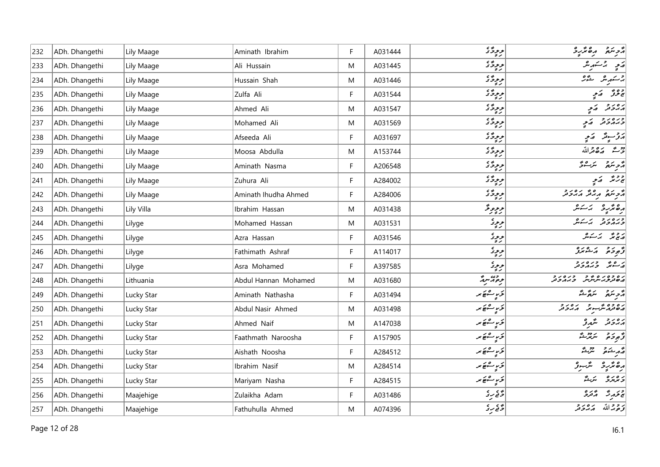| 232 | ADh. Dhangethi | Lily Maage | Aminath Ibrahim      | F         | A031444 | ووڈء                                | برە ئۆرۈ<br>ا پر بر سرچ<br>مسلم                |
|-----|----------------|------------|----------------------|-----------|---------|-------------------------------------|------------------------------------------------|
| 233 | ADh. Dhangethi | Lily Maage | Ali Hussain          | ${\sf M}$ | A031445 | ووڈء                                | ەئىي بۇسكىرىش                                  |
| 234 | ADh. Dhangethi | Lily Maage | Hussain Shah         | ${\sf M}$ | A031446 | و وگړي<br>ر <sub>گ</sub>            | جر شہر شد مقتدر                                |
| 235 | ADh. Dhangethi | Lily Maage | Zulfa Ali            | F         | A031544 | ووڈ ڈ<br>ر                          | ة 25 مَعٍ                                      |
| 236 | ADh. Dhangethi | Lily Maage | Ahmed Ali            | M         | A031547 | ووژگر<br>رژ                         | رەرد كې                                        |
| 237 | ADh. Dhangethi | Lily Maage | Mohamed Ali          | M         | A031569 | ووڈ ء<br>ر                          | ورەرو كەي                                      |
| 238 | ADh. Dhangethi | Lily Maage | Afseeda Ali          | F         | A031697 | ووڈءُ                               | أروح سوشر الأسمح                               |
| 239 | ADh. Dhangethi | Lily Maage | Moosa Abdulla        | ${\sf M}$ | A153744 | ووڈء                                | حرثة وكافد الله                                |
| 240 | ADh. Dhangethi | Lily Maage | Aminath Nasma        | F         | A206548 | ووڈء                                | ىئەرمەمچ<br>أأرمز                              |
| 241 | ADh. Dhangethi | Lily Maage | Zuhura Ali           | F         | A284002 | ووژگی<br>رئی                        | ة ديو المجمع                                   |
| 242 | ADh. Dhangethi | Lily Maage | Aminath Ihudha Ahmed | F         | A284006 | ووژگی<br>رئی                        | ו בי הדי הסגב<br>ולכיים גבול גבבו              |
| 243 | ADh. Dhangethi | Lily Villa | Ibrahim Hassan       | ${\sf M}$ | A031438 | ا و و ه وٌ<br><u>رو ر</u>           | رەپزىر بىسكى                                   |
| 244 | ADh. Dhangethi | Lilyge     | Mohamed Hassan       | ${\sf M}$ | A031531 | مومور<br>مرتو                       | ورەرو برخش                                     |
| 245 | ADh. Dhangethi | Lilyge     | Azra Hassan          | F         | A031546 | مومور<br>مرب                        | ەج ئەسكەنگە                                    |
| 246 | ADh. Dhangethi | Lilyge     | Fathimath Ashraf     | F         | A114017 | مومود<br>مرتو                       | أوجوحه كمشعر                                   |
| 247 | ADh. Dhangethi | Lilyge     | Asra Mohamed         | F         | A397585 | مومود<br>مرب                        | ړ ه په دره د د                                 |
| 248 | ADh. Dhangethi | Lithuania  | Abdul Hannan Mohamed | ${\sf M}$ | A031680 | وەيمە ئىر                           | ره وه ره د و و ره د و<br>پره تروبر سرس کرد کرد |
| 249 | ADh. Dhangethi | Lucky Star | Aminath Nathasha     | F         | A031494 | ئۈرىشى ئىر                          | مُ حِ سَرَةٌ مَنْ مَنْ يَسْتَمَ                |
| 250 | ADh. Dhangethi | Lucky Star | Abdul Nasir Ahmed    | M         | A031498 | ئەرىپە شەھەبىر                      | ره وه پر ده در ده در د                         |
| 251 | ADh. Dhangethi | Lucky Star | Ahmed Naif           | M         | A147038 | ئۈرىشى ئىچ                          | أرەر ئە شەر                                    |
| 252 | ADh. Dhangethi | Lucky Star | Faathmath Naroosha   | F         | A157905 | <br> دریاستان مرد                   | ژ <sub>م</sub> ودَه مرچمه                      |
| 253 | ADh. Dhangethi | Lucky Star | Aishath Noosha       | F         | A284512 | دَرِيبٍ صَحيحه                      | أقدم شوق المتركبة                              |
| 254 | ADh. Dhangethi | Lucky Star | Ibrahim Nasif        | ${\sf M}$ | A284514 | ئەرىپە شەھەبىر                      | ە ھېڭرىر<br>ب<br>ىئرىبىدۇ                      |
| 255 | ADh. Dhangethi | Lucky Star | Mariyam Nasha        | F         | A284515 | <sub>كحرم</sub> ش <sub>ع</sub> م مر | ر ه ر ه<br><del>و</del> بربرو<br>سَرْشَہُ      |
| 256 | ADh. Dhangethi | Maajehige  | Zulaikha Adam        | F         | A031486 | ی ء<br>ترقع سر تر                   | پور ہ<br>پرترو<br> ترخرمر بحر                  |
| 257 | ADh. Dhangethi | Maajehige  | Fathuhulla Ahmed     | ${\sf M}$ | A074396 | ی ي ري<br>تر تع <sub>مر</sub> تر    | وحية الله مرورو                                |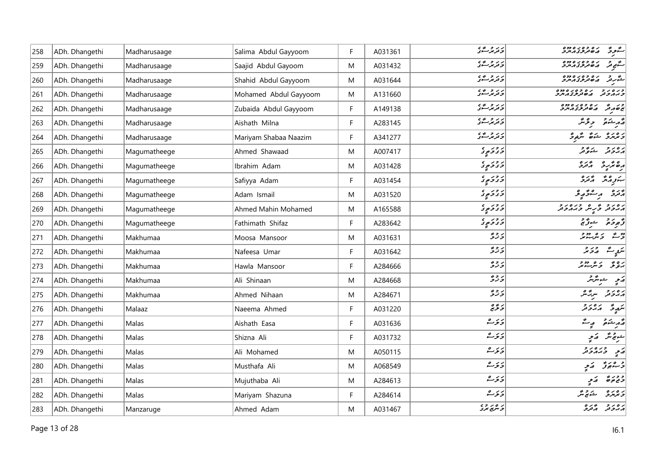| 258 | ADh. Dhangethi | Madharusaage | Salima Abdul Gayyoom  | F           | A031361 | ر ر و پر پر<br>وتربر گر            | ر ه و ه د ه دوه<br>پره تر پر بر بر<br>ستمودٌ                                 |
|-----|----------------|--------------|-----------------------|-------------|---------|------------------------------------|------------------------------------------------------------------------------|
| 259 | ADh. Dhangethi | Madharusaage | Saajid Abdul Gayoom   | M           | A031432 | ر ر و پر پر<br>وتربر ش             | ر ٥ ر ٥ ر ٥ <del>٥</del> ٠٥<br>پر@تر پر تر <i>بر بر</i><br>سگون توگر         |
| 260 | ADh. Dhangethi | Madharusaage | Shahid Abdul Gayyoom  | M           | A031644 | پر په رسمي<br>  په تعريب شوي       | ر ٥ <i>٥ ٥ ٥ ٥ ٥</i><br>۵ <i>۵ تر پر څ</i> ۶ بر بر<br>ىشەر قر                |
| 261 | ADh. Dhangethi | Madharusaage | Mohamed Abdul Gayyoom | M           | A131660 | ر ر د پ.<br>وتربر گر               | ر ٥ <i>٥ ٥ ٥ ٥ ٥ ٠</i><br>پر <i>@ترڅ ۹ بر</i> بر<br>و ر ه ر د<br>تر پر تر تر |
| 262 | ADh. Dhangethi | Madharusaage | Zubaida Abdul Gayyoom | $\mathsf F$ | A149138 | ر ر و په  ې<br>وتربر شي            | ر ٥ <i>٥ ٥ ٥ ٥ ٥</i><br>پر <i>© تر پر تر بر</i> بر<br>ح ئەمرىتر<br>ئ         |
| 263 | ADh. Dhangethi | Madharusaage | Aishath Milna         | $\mathsf F$ | A283145 | ر ر و پر پر<br>وتربر شو            | وكريشو وفرش                                                                  |
| 264 | ADh. Dhangethi | Madharusaage | Mariyam Shabaa Naazim | F           | A341277 | ر ر و پر پر<br>وتربر شو            | رەرە بەر ئەر                                                                 |
| 265 | ADh. Dhangethi | Magumatheege | Ahmed Shawaad         | M           | A007417 | ر د ر پ<br>5 د د حوٍ د             | ره ر و بر د و<br>پربروتر مشو <i>ر</i> تر                                     |
| 266 | ADh. Dhangethi | Magumatheege | Ibrahim Adam          | M           | A031428 | ر در<br>د د د <sub>و</sub> د       | ە ھەترىر <sup>ە</sup><br>پور ہ<br>مرکزو                                      |
| 267 | ADh. Dhangethi | Magumatheege | Safiyya Adam          | F           | A031454 | ر ور<br> وی و موته                 | بتوره پوره                                                                   |
| 268 | ADh. Dhangethi | Magumatheege | Adam Ismail           | M           | A031520 | ر ور<br>5 د د حود                  | أرده بر عرور و                                                               |
| 269 | ADh. Dhangethi | Magumatheege | Ahmed Mahin Mohamed   | M           | A165588 | ر ور<br>5 د د حو د                 | נסגב של כנסגב<br>ג' בנג פימי כמגבע                                           |
| 270 | ADh. Dhangethi | Magumatheege | Fathimath Shifaz      | F           | A283642 | ر ور<br>5 د د حو د                 | تزجوخرة سيؤتج                                                                |
| 271 | ADh. Dhangethi | Makhumaa     | Moosa Mansoor         | M           | A031631 | ۇزۇ                                | ووقع والمردوح                                                                |
| 272 | ADh. Dhangethi | Makhumaa     | Nafeesa Umar          | F           | A031642 | ۇزۇ                                | سَمْدٍ سَمْ الْمُرْحَمْ                                                      |
| 273 | ADh. Dhangethi | Makhumaa     | Hawla Mansoor         | F           | A284666 | ۇزۇ                                | رە ئەرەپەر<br>بەۋگە كەش-مە                                                   |
| 274 | ADh. Dhangethi | Makhumaa     | Ali Shinaan           | M           | A284668 | ۇزۇ                                | ر<br>په سوسر                                                                 |
| 275 | ADh. Dhangethi | Makhumaa     | Ahmed Nihaan          | M           | A284671 | ۇزۇ                                | رەر ئەسرىر                                                                   |
| 276 | ADh. Dhangethi | Malaaz       | Naeema Ahmed          | F           | A031220 | ترڅي                               | ەر دەر<br>سَمِيرةٌ                                                           |
| 277 | ADh. Dhangethi | Malas        | Aishath Easa          | F           | A031636 | ىزىر                               | مەر شىم بېر                                                                  |
| 278 | ADh. Dhangethi | Malas        | Shizna Ali            | $\mathsf F$ | A031732 | ىزىمى                              | لشویخ متر اور کر                                                             |
| 279 | ADh. Dhangethi | Malas        | Ali Mohamed           | M           | A050115 | ىز ئە                              | ړې دره ده.                                                                   |
| 280 | ADh. Dhangethi | Malas        | Musthafa Ali          | M           | A068549 | ئە ئەر <u>م</u>                    | وجي کام                                                                      |
| 281 | ADh. Dhangethi | Malas        | Mujuthaba Ali         | M           | A284613 | ىز ئە                              | و و ر پر<br>تر تع ځو ت<br>رځ مو                                              |
| 282 | ADh. Dhangethi | Malas        | Mariyam Shazuna       | F           | A284614 | ئە ئەر <u>م</u>                    | ر ه ر ه<br><del>د</del> بربرگ                                                |
| 283 | ADh. Dhangethi | Manzaruge    | Ahmed Adam            | M           | A031467 | ر ۵ ر و ،<br><del>د</del> سربح مرد | ג <i>סג כ</i> שנים<br>הגבת הבנב                                              |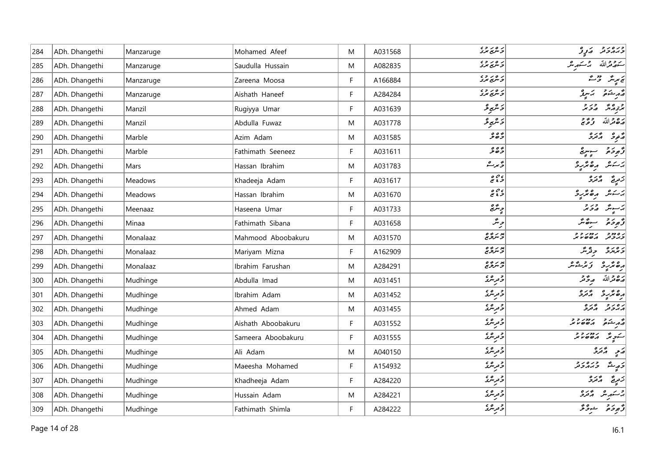| 284 | ADh. Dhangethi | Manzaruge | Mohamed Afeef      | M  | A031568 | ر ۵ ر و ،<br>تر شریح مور           | <i>בנ</i> סנב ה' הרבי                         |
|-----|----------------|-----------|--------------------|----|---------|------------------------------------|-----------------------------------------------|
| 285 | ADh. Dhangethi | Manzaruge | Saudulla Hussain   | M  | A082835 | ر ۵ ر د ۷<br><del>ر</del> سربح مرد | حقيقه الله بم تكهر مثل                        |
| 286 | ADh. Dhangethi | Manzaruge | Zareena Moosa      | F. | A166884 | ر ہ ر د ،<br>ترس پر                | ىم يېڭر ئ <sup>وس</sup> گە                    |
| 287 | ADh. Dhangethi | Manzaruge | Aishath Haneef     | F. | A284284 | ر ۵ پر د ۷<br>تر مربع مرد          | ۇرخۇ ئىبۇ                                     |
| 288 | ADh. Dhangethi | Manzil    | Rugiyya Umar       | F  | A031639 | ئەشرىر ۋ                           | כ פי כן כן<br>תוצמת ומכית                     |
| 289 | ADh. Dhangethi | Manzil    | Abdulla Fuwaz      | M  | A031778 | ۇ ئىرى پى                          | <mark>برە ت</mark> راللە<br>و پر د<br>تر تو م |
| 290 | ADh. Dhangethi | Marble    | Azim Adam          | M  | A031585 | وەء                                | پور ہ<br>مرکز<br>وشفونه                       |
| 291 | ADh. Dhangethi | Marble    | Fathimath Seeneez  | F  | A031611 | ≉ه و<br>تر <i>ه</i> پ              | و در د<br>ترجو څخه<br>سوسرچ                   |
| 292 | ADh. Dhangethi | Mars      | Hassan Ibrahim     | M  | A031783 | ۇ بر م                             |                                               |
| 293 | ADh. Dhangethi | Meadows   | Khadeeja Adam      | F  | A031617 | 282                                | ترى <sub>مى</sub> قىچ<br> <br>ەرگەر           |
| 294 | ADh. Dhangethi | Meadows   | Hassan Ibrahim     | M  | A031670 | ې ده<br>حرکام                      |                                               |
| 295 | ADh. Dhangethi | Meenaaz   | Haseena Umar       | F  | A031733 | جٍسَّع                             | و ر و<br>در ژ بر<br>ىز سەمىگە<br>ئە           |
| 296 | ADh. Dhangethi | Minaa     | Fathimath Sibana   | F  | A031658 | لحريقه                             | ژودو سفتر                                     |
| 297 | ADh. Dhangethi | Monalaaz  | Mahmood Aboobakuru | M  | A031570 | پر پر پر ہ<br>خ <i>سر پڑ</i> ہے    | 77/27/<br>ر ه دد د<br>تربر تر تر              |
| 298 | ADh. Dhangethi | Monalaaz  | Mariyam Mizna      | F  | A162909 | بىز بەر بەرە<br>جەنىرى <i>تى</i> ج | ويوبره<br>حەنۇرىتىر<br>—                      |
| 299 | ADh. Dhangethi | Monalaaz  | Ibrahim Farushan   | M  | A284291 | بر بر پر ہ<br>حر سر پر پر          | ۇ ئرىشەشر<br>ەرھەترىر <sup>ى</sup>            |
| 300 | ADh. Dhangethi | Mudhinge  | Abdulla Imad       | M  | A031451 | وتورهرته                           | <mark>برء تر</mark> الله<br>ەرگەر             |
| 301 | ADh. Dhangethi | Mudhinge  | Ibrahim Adam       | M  | A031452 | 3 مرمر<br>م                        | پور ہ<br>مرکز<br>ە ھەترىرى<br>برھەترىرى       |
| 302 | ADh. Dhangethi | Mudhinge  | Ahmed Adam         | M  | A031455 | وترشر                              | ەرەرە<br>پور ہ<br>مرکز ژ                      |
| 303 | ADh. Dhangethi | Mudhinge  | Aishath Aboobakuru | F  | A031552 | وترشر                              | 77777<br>پر<br>درگرد شومی                     |
| 304 | ADh. Dhangethi | Mudhinge  | Sameera Aboobakuru | F  | A031555 | 3 مرمر<br>م                        | سەچەتتىر<br>77/77/7                           |
| 305 | ADh. Dhangethi | Mudhinge  | Ali Adam           | M  | A040150 | ۇىرىرى                             | أەسم أورد                                     |
| 306 | ADh. Dhangethi | Mudhinge  | Maeesha Mohamed    | F  | A154932 | و مرسمهٔ                           | خەيشە<br>و رە ر د<br><i>د بر</i> گرىز         |
| 307 | ADh. Dhangethi | Mudhinge  | Khadheeja Adam     | F  | A284220 | وترشر                              | رَ مَرِيَّے<br>ر<br>ەرگەر                     |
| 308 | ADh. Dhangethi | Mudhinge  | Hussain Adam       | M  | A284221 | وترشحه                             | جر شهر شهر محمده<br>پر شهر شهر محمد           |
| 309 | ADh. Dhangethi | Mudhinge  | Fathimath Shimla   | F  | A284222 | 3 مرمر<br>م                        | توجوجو الشوفانخر                              |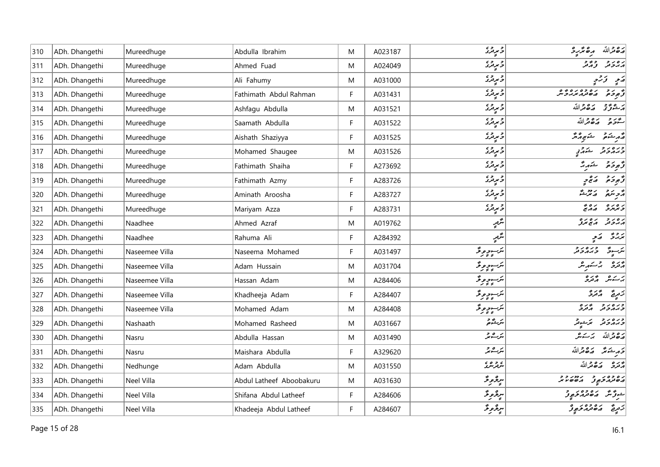| 310 | ADh. Dhangethi | Mureedhuge     | Abdulla Ibrahim          | Μ  | A023187 | د<br>تر موتری                  | ەھ ترىرى<br>وكافرالله                        |
|-----|----------------|----------------|--------------------------|----|---------|--------------------------------|----------------------------------------------|
| 311 | ADh. Dhangethi | Mureedhuge     | Ahmed Fuad               | M  | A024049 | و مردر و د<br>تر مردر د        | ره رو و وو<br><mark>دبرونر وم</mark> تر      |
| 312 | ADh. Dhangethi | Mureedhuge     | Ali Fahumy               | M  | A031000 | ته سر د بر<br>  ته سر سر د     | پر نور تر                                    |
| 313 | ADh. Dhangethi | Mureedhuge     | Fathimath Abdul Rahman   | F. | A031431 | تر بر تر د<br>  تر بر تر د     | ره ده ده ده و<br>ءِ سر و<br>ترجو حو          |
| 314 | ADh. Dhangethi | Mureedhuge     | Ashfagu Abdulla          | Μ  | A031521 | و پر و ،<br> و پر تر د         | برجوتر بره قرالله                            |
| 315 | ADh. Dhangethi | Mureedhuge     | Saamath Abdulla          | F  | A031522 | د<br>تر بر تر د                | تحرير مكافرالله                              |
| 316 | ADh. Dhangethi | Mureedhuge     | Aishath Shaziyya         | F  | A031525 | و<br>تر مړندگی                 | شەم پر پر<br>و مر شو د<br>مر                 |
| 317 | ADh. Dhangethi | Mureedhuge     | Mohamed Shaugee          | M  | A031526 | د مرور د<br>کو موفرو           | ورەر د شەرىخ                                 |
| 318 | ADh. Dhangethi | Mureedhuge     | Fathimath Shaiha         | F. | A273692 | د په ده<br>د مړندو             | وُجِرْحَمْ شَهْرِبُّ                         |
| 319 | ADh. Dhangethi | Mureedhuge     | Fathimath Azmy           | F  | A283726 | د<br>و مرترو                   | تجوجو ويجح                                   |
| 320 | ADh. Dhangethi | Mureedhuge     | Aminath Aroosha          | F. | A283727 | ته سر د بر<br>  ته سر سر د     | أرمره<br>پر جو شہر<br>م <i>ر</i> جو شہ       |
| 321 | ADh. Dhangethi | Mureedhuge     | Mariyam Azza             | F  | A283731 | و مرتر د<br>تو مرتر د          | ر ه بر ه<br><del>د</del> بربرگ<br>ر ه د      |
| 322 | ADh. Dhangethi | Naadhee        | Ahmed Azraf              | Μ  | A019762 | انتزمدٍ                        | پرور و<br>بر 2 بر 2<br>در مع مرتو            |
| 323 | ADh. Dhangethi | Naadhee        | Rahuma Ali               | F  | A284392 | ىتزەر                          | أترزؤ أربح                                   |
| 324 | ADh. Dhangethi | Naseemee Villa | Naseema Mohamed          | F  | A031497 | ىئەسىپ <sub>ى</sub> رىدۇ.<br>س | انرىسوم دىرەرد                               |
| 325 | ADh. Dhangethi | Naseemee Villa | Adam Hussain             | Μ  | A031704 | ىئەسىرە بۇ<br>ئىستىقىنىڭ       | دره در حمد شر                                |
| 326 | ADh. Dhangethi | Naseemee Villa | Hassan Adam              | M  | A284406 | ىئرسوچە بۇ<br>ئىستىق ئى        | برسەش ئەترو                                  |
| 327 | ADh. Dhangethi | Naseemee Villa | Khadheeja Adam           | F. | A284407 | ىئرسوچە بۇ ئە                  | تزميعٌ = مرکزو                               |
| 328 | ADh. Dhangethi | Naseemee Villa | Mohamed Adam             | M  | A284408 | ىئرسوچە بۇ<br>سىستىم           | ورەر د درە<br><i>دېد</i> رونر م <i>ر</i> ترو |
| 329 | ADh. Dhangethi | Nashaath       | Mohamed Rasheed          | Μ  | A031667 | ىر شەر<br>سۇپىشىمى             | ورەرو بەيدۇ                                  |
| 330 | ADh. Dhangethi | Nasru          | Abdulla Hassan           | Μ  | A031490 | ىئەت قىر                       | رەقراللە برىكە                               |
| 331 | ADh. Dhangethi | Nasru          | Maishara Abdulla         | F  | A329620 | ىئەرمىقر                       | ترمشكر مكافرالله                             |
| 332 | ADh. Dhangethi | Nedhunge       | Adam Abdulla             | M  | A031550 | ے ج م ۽<br>سرپرسر <sub>ک</sub> | وره ره والله                                 |
| 333 | ADh. Dhangethi | Neel Villa     | Abdul Latheef Aboobakuru | M  | A031630 | سروگروگر                       | גם כסג כדור כב<br>הסתח כתב הססט ב            |
| 334 | ADh. Dhangethi | Neel Villa     | Shifana Abdul Latheef    | F  | A284606 | سروگروگر                       | د و ده ده ده د و د                           |
| 335 | ADh. Dhangethi | Neel Villa     | Khadeeja Abdul Latheef   | F  | A284607 | سروگروگر                       | زېږمځ مەمەم دەر ۋ                            |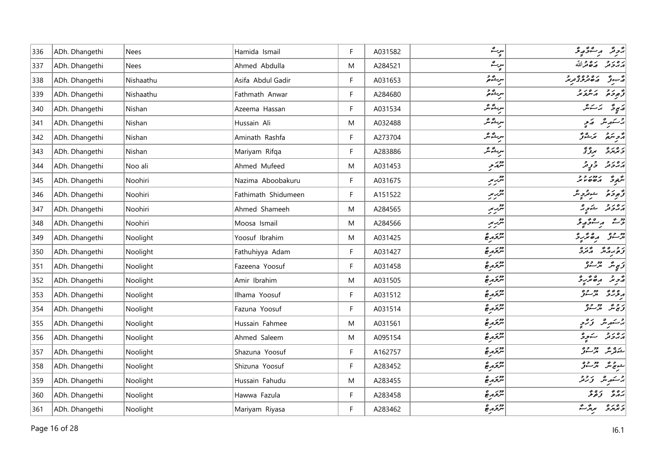| 336 | ADh. Dhangethi | Nees        | Hamida Ismail       | F. | A031582 | سريہ              | يُرومُ مِنْ وُمُوَ و                       |
|-----|----------------|-------------|---------------------|----|---------|-------------------|--------------------------------------------|
| 337 | ADh. Dhangethi | <b>Nees</b> | Ahmed Abdulla       | Μ  | A284521 | اسريفر<br>ا       | برەرد برە دالله                            |
| 338 | ADh. Dhangethi | Nishaathu   | Asifa Abdul Gadir   | F  | A031653 | سرىشگە<br>س       | ر ده ده ده ده در د<br>مسر د ماه مرکز در مر |
| 339 | ADh. Dhangethi | Nishaathu   | Fathmath Anwar      | F. | A284680 | سرڪرم             | بر 2 پر د<br>و مرد د<br>تر مرد مر          |
| 340 | ADh. Dhangethi | Nishan      | Azeema Hassan       | F  | A031534 | اسریشمبر<br>پ     |                                            |
| 341 | ADh. Dhangethi | Nishan      | Hussain Ali         | M  | A032488 | اسريقيقر          | رحسكر محر                                  |
| 342 | ADh. Dhangethi | Nishan      | Aminath Rashfa      | F  | A273704 | سرىشەشر           | المرد منه المستقبل<br>المرد منه المستقبل   |
| 343 | ADh. Dhangethi | Nishan      | Mariyam Rifqa       | F  | A283886 | سرىشەش            | دەرە بروتى                                 |
| 344 | ADh. Dhangethi | Noo ali     | Ahmed Mufeed        | Μ  | A031453 | ابتهمز            | ړ د د وړ تر                                |
| 345 | ADh. Dhangethi | Noohiri     | Nazima Aboobakuru   | F  | A031675 | چیز سه<br>سربر    | 77777<br>سَّنْجِرْ شَ                      |
| 346 | ADh. Dhangethi | Noohiri     | Fathimath Shidumeen | F  | A151522 | چیز سه<br>سربر    | وٌجوحَ حو<br>مشوقر <sub>کتو</sub> مگر      |
| 347 | ADh. Dhangethi | Noohiri     | Ahmed Shameeh       | M  | A284565 | چژبر سر<br>سر     | ڪو پر<br>حکو<br>پروژبر                     |
| 348 | ADh. Dhangethi | Noohiri     | Moosa Ismail        | Μ  | A284566 | چیز<br>سربر       | وڪوڻو<br> چەسىئە                           |
| 349 | ADh. Dhangethi | Noolight    | Yoosuf Ibrahim      | M  | A031425 | ترىخەرچ           | ەر ھەئرىر <sup>ە</sup><br>دد بره<br>مرسسو  |
| 350 | ADh. Dhangethi | Noolight    | Fathuhiyya Adam     | F  | A031427 | يز <sub>كرم</sub> | נים המידה ומינים<br>צים המידה ומינים       |
| 351 | ADh. Dhangethi | Noolight    | Fazeena Yoosuf      | F  | A031458 | تتزوره            | ۇ <sub>يىچ</sub> ىئر ب <sup>و</sup> ر جۇ   |
| 352 | ADh. Dhangethi | Noolight    | Amir Ibrahim        | M  | A031505 | ترىخەرچ           | أيجر بمره يزير                             |
| 353 | ADh. Dhangethi | Noolight    | Ilhama Yoosuf       | F  | A031512 | ترىخەرچ           | بروتریخ<br>دد حره<br>در سور                |
| 354 | ADh. Dhangethi | Noolight    | Fazuna Yoosuf       | F  | A031514 | ترىخەرچ           | ىر جەشىر تەرجىق                            |
| 355 | ADh. Dhangethi | Noolight    | Hussain Fahmee      | Μ  | A031561 | ترىخەرچ           | يز سكر شكر الوكرمي                         |
| 356 | ADh. Dhangethi | Noolight    | Ahmed Saleem        | M  | A095154 | ترىخەرچ           | رەرد ئوۋ                                   |
| 357 | ADh. Dhangethi | Noolight    | Shazuna Yoosuf      | F  | A162757 | ترىخەرچ           | شەۋرىگە جۇ جۇ                              |
| 358 | ADh. Dhangethi | Noolight    | Shizuna Yoosuf      | F  | A283452 | ترىخەرچ           | شوچ مگر در دو<br>م                         |
| 359 | ADh. Dhangethi | Noolight    | Hussain Fahudu      | M  | A283455 | ترزره             | يزحكموننس وترفر                            |
| 360 | ADh. Dhangethi | Noolight    | Hawwa Fazula        | F  | A283458 | ترىخەرچ           | رەپە زەپ                                   |
| 361 | ADh. Dhangethi | Noolight    | Mariyam Riyasa      | F  | A283462 | ترىخەرچ           | במתכנית את                                 |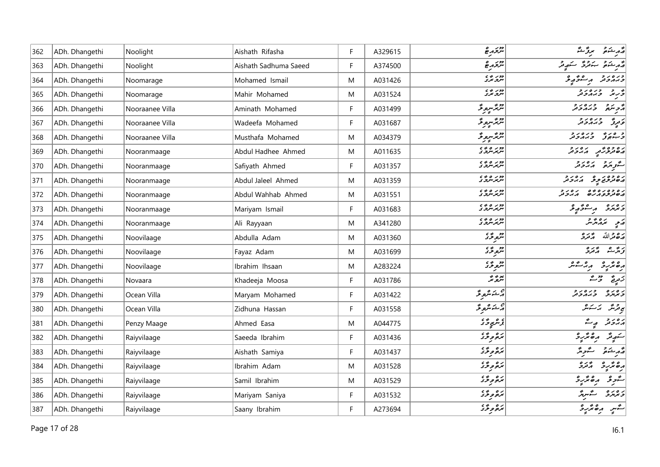| 362 | ADh. Dhangethi | Noolight        | Aishath Rifasha       | F           | A329615 | تروره                                          |                                                               |
|-----|----------------|-----------------|-----------------------|-------------|---------|------------------------------------------------|---------------------------------------------------------------|
| 363 | ADh. Dhangethi | Noolight        | Aishath Sadhuma Saeed | F           | A374500 | ترىخەرچ                                        |                                                               |
| 364 | ADh. Dhangethi | Noomarage       | Mohamed Ismail        | M           | A031426 | وور بر پر<br>سرچ مر <sub>ک</sub>               |                                                               |
| 365 | ADh. Dhangethi | Noomarage       | Mahir Mohamed         | M           | A031524 | وور پر پر<br>سرچ موی                           | و رە ر د<br>تر پروتر<br>ۇر بۇ                                 |
| 366 | ADh. Dhangethi | Nooraanee Villa | Aminath Mohamed       | F           | A031499 | يزىر<br>سرىر سرە مۇ                            | הקייטה בגופניה                                                |
| 367 | ADh. Dhangethi | Nooraanee Villa | Wadeefa Mohamed       | F           | A031687 | يزىر<br>سرىر سرە مۇ                            | ر مورگر<br>ح <i>افی</i> تر<br>و ره ر د<br>تر پر ژمر           |
| 368 | ADh. Dhangethi | Nooraanee Villa | Musthafa Mohamed      | M           | A034379 | ترىژىپر <sub>ىرى</sub> گە                      | و رە ر د<br>تر <i>پر</i> و تر<br>د مەردىپى<br>ج               |
| 369 | ADh. Dhangethi | Nooranmaage     | Abdul Hadhee Ahmed    | M           | A011635 | دد بر ۵ پر پر<br>سرپرسرچر                      | גם כפי <sub>ק</sub> בר בריק                                   |
| 370 | ADh. Dhangethi | Nooranmaage     | Safiyath Ahmed        | F           | A031357 | دد بر ۵ پر پر<br>سرچر سرچر <sub>ک</sub>        | گروه پره دو                                                   |
| 371 | ADh. Dhangethi | Nooranmaage     | Abdul Jaleel Ahmed    | M           | A031359 | دد ر ه و ،<br>سرپرسر <del>د</del> د            | ره وه در و در و<br>پرهنرنوچ پر پر کردند                       |
| 372 | ADh. Dhangethi | Nooranmaage     | Abdul Wahhab Ahmed    | M           | A031551 | دور ه د »<br>سرپرسرچر                          | ره وه ره ده مدر د<br>په هنرمو در مدر در                       |
| 373 | ADh. Dhangethi | Nooranmaage     | Mariyam Ismail        | $\mathsf F$ | A031683 | دد بر ۵ پر پر<br>سرپر سرچر <sub>ک</sub>        | במתכ גיילקיל                                                  |
| 374 | ADh. Dhangethi | Nooranmaage     | Ali Rayyaan           | M           | A341280 | دد بر ۵ پر پر<br>سرپرسرچر                      | ב בחתית                                                       |
| 375 | ADh. Dhangethi | Noovilaage      | Abdulla Adam          | M           | A031360 | دو پر پر<br>متر <sub>فع</sub> ر پر             | ەھىراللە<br>پور ہ<br>مرکز                                     |
| 376 | ADh. Dhangethi | Noovilaage      | Fayaz Adam            | M           | A031699 | دد<br>متر <sub>جو</sub> بحری                   | ى پۇيە<br>پور ہ<br>مرکزو                                      |
| 377 | ADh. Dhangethi | Noovilaage      | Ibrahim Ihsaan        | M           | A283224 | دد پر پر<br>سر <sub>گر</sub> بر                | ەيدىشقىر<br>دەندىر                                            |
| 378 | ADh. Dhangethi | Novaara         | Khadeeja Moosa        | F           | A031786 | بیر پر پر<br>سرچ بئر                           | زَمْرِيحٌ<br>دو مشر                                           |
| 379 | ADh. Dhangethi | Ocean Villa     | Maryam Mohamed        | F           | A031422 | ە ئەيە ئىس <i>رى</i> ئە                        | ر ه ر ه<br><del>د</del> بربرو<br>و ره ر و<br><i>و پر</i> و تر |
| 380 | ADh. Dhangethi | Ocean Villa     | Zidhuna Hassan        | F           | A031558 | ە ئەنە ئى <sub>رىم</sub> ۇ                     | پر قریبر کے کے مگر                                            |
| 381 | ADh. Dhangethi | Penzy Maage     | Ahmed Easa            | M           | A044775 | ئۇنترىپو ئەتر                                  | پرورو په مخ                                                   |
| 382 | ADh. Dhangethi | Raiyvilaage     | Saeeda Ibrahim        | $\mathsf F$ | A031436 | ره<br>بر <sub>حو</sub> مونور                   | دە ئەرو<br>سەرپەتتر                                           |
| 383 | ADh. Dhangethi | Raiyvilaage     | Aishath Samiya        | F           | A031437 | بره و پ <sup>ر</sup> ي<br>مر <sub>گ</sub> ورگر | سەُّرىر<br>ر<br>در در شومی                                    |
| 384 | ADh. Dhangethi | Raiyvilaage     | Ibrahim Adam          | M           | A031528 | ره وي<br>مر <sub>حو</sub> مونځو <sub>ک</sub>   | پور ہ<br>مرتزو<br>ە ھەترىر <sup>ە</sup>                       |
| 385 | ADh. Dhangethi | Raiyvilaage     | Samil Ibrahim         | M           | A031529 | ىرە ھەتىي<br>ئىرقۇمۇتى                         | سەمەبۇ<br>برە ئۆرۈ                                            |
| 386 | ADh. Dhangethi | Raiyvilaage     | Mariyam Saniya        | F           | A031532 | ره وي<br>تر <sub>م</sub> وغور                  | سەّسىد<br>ر ه ر ه<br><del>و</del> بربرو                       |
| 387 | ADh. Dhangethi | Raiyvilaage     | Saany Ibrahim         | F           | A273694 | بره و پر ،<br>مر <sub>حو</sub> مونځر           | شهر م <i>وشرد</i>                                             |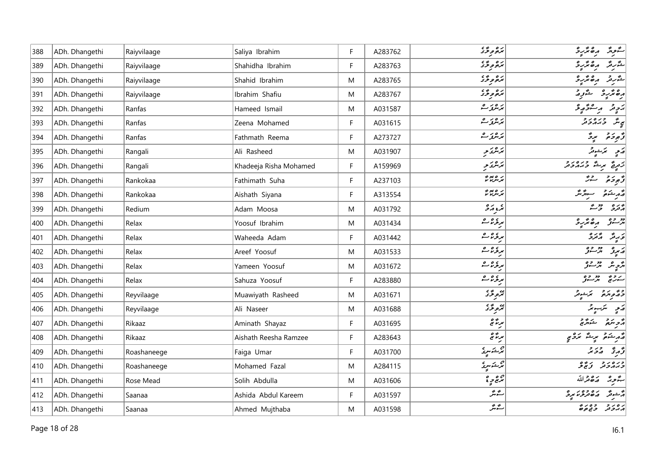| 388 | ADh. Dhangethi | Raiyvilaage | Saliya Ibrahim         | F  | A283762 | ره<br>تر <sub>ح</sub> و و څر                  | ە ھەترىرى<br>برھەترىرى<br>سەّمەر                        |
|-----|----------------|-------------|------------------------|----|---------|-----------------------------------------------|---------------------------------------------------------|
| 389 | ADh. Dhangethi | Raiyvilaage | Shahidha Ibrahim       | F. | A283763 | ىر <i>ھ</i><br>ئىر ھومۇ ئى                    | ە ھەترىر <i>ە</i><br>ڪُ <sub>مر</sub> تگر               |
| 390 | ADh. Dhangethi | Raiyvilaage | Shahid Ibrahim         | M  | A283765 | ر ه<br>بر <sub>گ</sub> ورځۍ                   | رە ئۈرۈ<br>ىشەر بىر<br>ب                                |
| 391 | ADh. Dhangethi | Raiyvilaage | Ibrahim Shafiu         | M  | A283767 | برە و ڈی                                      | دە ئەرە<br>ڪُوپر                                        |
| 392 | ADh. Dhangethi | Ranfas      | Hameed Ismail          | M  | A031587 | برەپر مە                                      | ەرسىۋەپەيجە<br>برَحٍة تر                                |
| 393 | ADh. Dhangethi | Ranfas      | Zeena Mohamed          | F  | A031615 | ىر ھ <sub>ى</sub> ز م                         | ېپېژ<br>و رە ر د<br><i>د بر</i> گرىز                    |
| 394 | ADh. Dhangethi | Ranfas      | Fathmath Reema         | F  | A273727 | ىر ھ <sub>ى</sub> ز م                         | سمرچ<br>ۇ بو ئەم                                        |
| 395 | ADh. Dhangethi | Rangali     | Ali Rasheed            | M  | A031907 | برەر                                          | أركمني المخرجين وتحر                                    |
| 396 | ADh. Dhangethi | Rangali     | Khadeeja Risha Mohamed | F  | A159969 | ىر شرىخە خە                                   | رَسٍ پ <sup>ر درور</sup> د                              |
| 397 | ADh. Dhangethi | Rankokaa    | Fathimath Suha         | F  | A237103 | ر 20 پر پر<br>مرس                             | و المعرفة المستر                                        |
| 398 | ADh. Dhangethi | Rankokaa    | Aishath Siyana         | F  | A313554 | ر 20 پر پر<br>مرس                             | سەدىگە<br>و مر شده<br>د کرمشوه                          |
| 399 | ADh. Dhangethi | Redium      | Adam Moosa             | M  | A031792 | بموبرد                                        | یز رہ<br>درگر<br>دو مح                                  |
| 400 | ADh. Dhangethi | Relax       | Yoosuf Ibrahim         | M  | A031434 | برېژم گ                                       | ەر ھەترىر 3<br>ر<br>دد و ه<br>در سور                    |
| 401 | ADh. Dhangethi | Relax       | Waheeda Adam           | F  | A031442 | بربۇر مە                                      | پر ہ<br>مرمرو<br>ر<br>حربه پیش                          |
| 402 | ADh. Dhangethi | Relax       | Areef Yoosuf           | M  | A031533 | ېرىۋىر شە                                     | ەئىمىرى<br>دد وه                                        |
| 403 | ADh. Dhangethi | Relax       | Yameen Yoosuf          | M  | A031672 | ېرىۋىر شە                                     | ېژ <sub>چ</sub> بىر<br>در مشرو                          |
| 404 | ADh. Dhangethi | Relax       | Sahuza Yoosuf          | F  | A283880 | برېږه شه                                      | سەرىج<br>دد وه<br>در سور                                |
| 405 | ADh. Dhangethi | Reyvilaage  | Muawiyath Rasheed      | M  | A031671 | پر <sub>حر</sub> پر<br>  <del>ب</del> ر حر بر | وړ ورکو کرشونگر                                         |
| 406 | ADh. Dhangethi | Reyvilaage  | Ali Naseer             | M  | A031688 | ر،<br>تر <sub>حو</sub> تری                    | أوسمع الكرسبوس                                          |
| 407 | ADh. Dhangethi | Rikaaz      | Aminath Shayaz         | F  | A031695 | بىرىدى<br>بىر                                 | أأرسم<br>ر پر د<br>مشوہری                               |
| 408 | ADh. Dhangethi | Rikaaz      | Aishath Reesha Ramzee  | F  | A283643 | برتده<br>سرتناسی                              | وأرشكم بريش بروم                                        |
| 409 | ADh. Dhangethi | Roashaneege | Faiga Umar             | F  | A031700 | لتحريثه يبرع                                  | $\frac{1}{2}$ $\frac{1}{2}$ $\frac{2}{3}$ $\frac{3}{2}$ |
| 410 | ADh. Dhangethi | Roashaneege | Mohamed Fazal          | M  | A284115 | ئۇيغۇمىيە ئە<br>                              | ورەرو رەھ<br>ورەرونى تى                                 |
| 411 | ADh. Dhangethi | Rose Mead   | Solih Abdulla          | M  | A031606 |                                               | ەھىراللە<br>يتمور                                       |
| 412 | ADh. Dhangethi | Saanaa      | Ashida Abdul Kareem    | F  | A031597 | ئەشر                                          | ره وه ر<br>پره ترو ريږو<br>د گر شد قر                   |
| 413 | ADh. Dhangethi | Saanaa      | Ahmed Mujthaba         | M  | A031598 | ئەئىر                                         | ره رو وه ره<br>درگر وق                                  |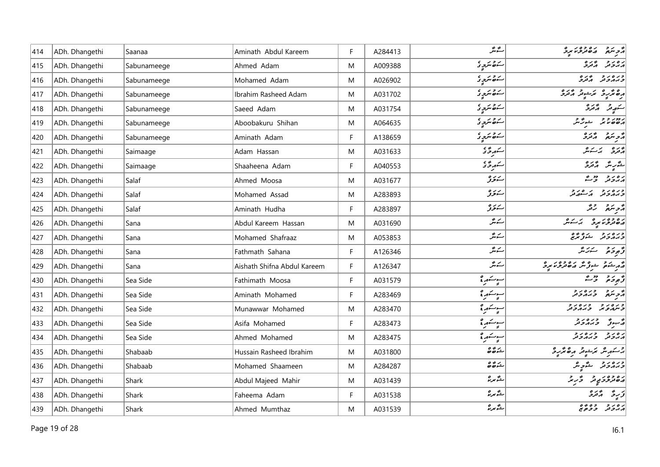| 414 | ADh. Dhangethi | Saanaa      | Aminath Abdul Kareem        | F         | A284413 | ئەشر                                                                   | י מי הסיפר בי הסיפר בי היי בי היי בי היי בי היי בי היי בי היי בי היי בי היי בי היי בי היי בי היי בי היי בי היי<br>היי בי היי היי בי היי בי היי היי בי היי בי היי בי היי בי היי בי היי בי היי בי היי בי היי בי היי בי היי בי היי  |
|-----|----------------|-------------|-----------------------------|-----------|---------|------------------------------------------------------------------------|----------------------------------------------------------------------------------------------------------------------------------------------------------------------------------------------------------------------------------|
| 415 | ADh. Dhangethi | Sabunameege | Ahmed Adam                  | M         | A009388 | سەھ ئىرىپە ئ                                                           | ג ס ג פ בי פי ס                                                                                                                                                                                                                  |
| 416 | ADh. Dhangethi | Sabunameege | Mohamed Adam                | M         | A026902 | سەھ ئىزىر ئ                                                            | ورەر د پرە<br><i>ج</i> ىرمەتر مەنزۈ                                                                                                                                                                                              |
| 417 | ADh. Dhangethi | Sabunameege | Ibrahim Rasheed Adam        | M         | A031702 | سەھ ئىرىپ                                                              | הפתק תיידת הנק                                                                                                                                                                                                                   |
| 418 | ADh. Dhangethi | Sabunameege | Saeed Adam                  | M         | A031754 | سەھ ئىزىر ئ                                                            | سكەر ئەر ئەر                                                                                                                                                                                                                     |
| 419 | ADh. Dhangethi | Sabunameege | Aboobakuru Shihan           | M         | A064635 | سەھ ئىزىر ئ                                                            |                                                                                                                                                                                                                                  |
| 420 | ADh. Dhangethi | Sabunameege | Aminath Adam                | F         | A138659 | ئەھ ئىز <sub>ىچە</sub> ئ                                               | ړ پر په ده د                                                                                                                                                                                                                     |
| 421 | ADh. Dhangethi | Saimaage    | Adam Hassan                 | ${\sf M}$ | A031633 | $rac{c}{s}$                                                            | ۇرۇ بەسكىر                                                                                                                                                                                                                       |
| 422 | ADh. Dhangethi | Saimaage    | Shaaheena Adam              | F         | A040553 | ستهروء                                                                 | شَرِيرٌ دُرُو                                                                                                                                                                                                                    |
| 423 | ADh. Dhangethi | Salaf       | Ahmed Moosa                 | ${\sf M}$ | A031677 | سەنزىق                                                                 | پره ده ده ش                                                                                                                                                                                                                      |
| 424 | ADh. Dhangethi | Salaf       | Mohamed Assad               | M         | A283893 | سەنزى                                                                  | כנסנכ הביניב                                                                                                                                                                                                                     |
| 425 | ADh. Dhangethi | Salaf       | Aminath Hudha               | F         | A283897 | سەنزىق                                                                 | أأروسهم الرقد                                                                                                                                                                                                                    |
| 426 | ADh. Dhangethi | Sana        | Abdul Kareem Hassan         | M         | A031690 | سەمىر                                                                  | גם כפי גם גבת                                                                                                                                                                                                                    |
| 427 | ADh. Dhangethi | Sana        | Mohamed Shafraaz            | ${\sf M}$ | A053853 | سەئىر                                                                  | وره رو ده وه<br><i>وبردونډ</i> شوربرج                                                                                                                                                                                            |
| 428 | ADh. Dhangethi | Sana        | Fathmath Sahana             | F         | A126346 | سەمىر                                                                  | ق بوجو سنرتش                                                                                                                                                                                                                     |
| 429 | ADh. Dhangethi | Sana        | Aishath Shifna Abdul Kareem | F         | A126347 | سەمىر                                                                  | ە ئەشكەر سورىتى ئەھەر <i>دىن ب</i> رە                                                                                                                                                                                            |
| 430 | ADh. Dhangethi | Sea Side    | Fathimath Moosa             | F         | A031579 | سوسئوره                                                                | توجوجو المحمد                                                                                                                                                                                                                    |
| 431 | ADh. Dhangethi | Sea Side    | Aminath Mohamed             | F         | A283469 | سەسىرد                                                                 | و دره دره در                                                                                                                                                                                                                     |
| 432 | ADh. Dhangethi | Sea Side    | Munawwar Mohamed            | ${\sf M}$ | A283470 | سوسكورة                                                                | כנסנכ כנסנכ<br>כייטגפיג כג'גכנג                                                                                                                                                                                                  |
| 433 | ADh. Dhangethi | Sea Side    | Asifa Mohamed               | F         | A283473 | سەسىردى                                                                | و رە ر د<br>تر پر تر تر<br>ۇ سوق                                                                                                                                                                                                 |
| 434 | ADh. Dhangethi | Sea Side    | Ahmed Mohamed               | M         | A283475 | سوسئوره                                                                | נפגב בנסגב<br>גגבע בגגבע                                                                                                                                                                                                         |
| 435 | ADh. Dhangethi | Shabaab     | Hussain Rasheed Ibrahim     | M         | A031800 | $\overset{\circ}{\circ} \overset{\circ}{\circ} \overset{\circ}{\cdot}$ | بر کے مر مرکب کر مرکب کر دی کر کر دی کر کر دی کر دی کر دی کر دی کر دی کر دی کر دی کر دی کر دی کر دی کر دی کر د<br>مرکز کر دیکھیل کر دی کر دی کر دی کر دی کر دی کر دی کر دی کر دی کر دی کر دی کر دی کر دی کر دی کر دی کر دی کر دی |
| 436 | ADh. Dhangethi | Shabaab     | Mohamed Shaameen            | ${\sf M}$ | A284287 | شەھ                                                                    | وره رو شگویش                                                                                                                                                                                                                     |
| 437 | ADh. Dhangethi | Shark       | Abdul Majeed Mahir          | M         | A031439 | ىشە بىر ر                                                              | ره وه د و ځر شک                                                                                                                                                                                                                  |
| 438 | ADh. Dhangethi | Shark       | Faheema Adam                | F         | A031538 | ىشە بىرىد                                                              | ترَرِدَّ " " دَرَدَّ                                                                                                                                                                                                             |
| 439 | ADh. Dhangethi | Shark       | Ahmed Mumthaz               | M         | A031539 | ىشە بىر ر                                                              | נסנכ כסשם<br>הגבה ככתב                                                                                                                                                                                                           |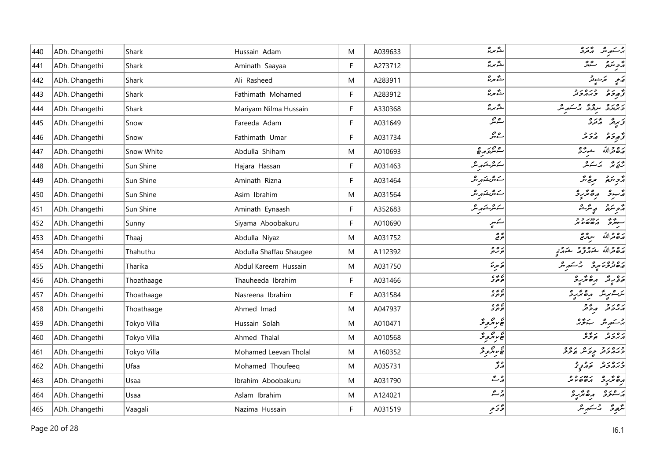| 440 | ADh. Dhangethi | Shark       | Hussain Adam            | M           | A039633 | شەمەر                        | جە ئەھرى ئەرە<br>ئەسكىرىش ئەرەر                   |
|-----|----------------|-------------|-------------------------|-------------|---------|------------------------------|---------------------------------------------------|
| 441 | ADh. Dhangethi | Shark       | Aminath Saayaa          | F           | A273712 | شتر مرر                      | $rac{2}{3}$<br>سە ئەرگە                           |
| 442 | ADh. Dhangethi | Shark       | Ali Rasheed             | M           | A283911 | مشمعره                       | أوسمح المحرسة وتمر                                |
| 443 | ADh. Dhangethi | Shark       | Fathimath Mohamed       | F           | A283912 | ىشە بىرىد                    | 31013 319                                         |
| 444 | ADh. Dhangethi | Shark       | Mariyam Nilma Hussain   | F.          | A330368 | ىشە بىرىد                    | במתב יישב ג' איתי                                 |
| 445 | ADh. Dhangethi | Snow        | Fareeda Adam            | F           | A031649 | مشرهير                       | وَ يَدِيرٌ مُرْتَدَةٌ                             |
| 446 | ADh. Dhangethi | Snow        | Fathimath Umar          | F.          | A031734 | سەيىر                        | و وده ودو                                         |
| 447 | ADh. Dhangethi | Snow White  | Abdulla Shiham          | M           | A010693 | ه مهم ده<br>سوسروره          | بره و الله شو <i>رد و</i><br>مصر الله             |
| 448 | ADh. Dhangethi | Sun Shine   | Hajara Hassan           | $\mathsf F$ | A031463 | سەنئەر بىر                   | <i>مجمع پر شک</i> ر                               |
| 449 | ADh. Dhangethi | Sun Shine   | Aminath Rizna           | F.          | A031464 | سەنئىرىشر                    | أأدجن المتحا                                      |
| 450 | ADh. Dhangethi | Sun Shine   | Asim Ibrahim            | M           | A031564 | سەنگەرىشەر بىر               |                                                   |
| 451 | ADh. Dhangethi | Sun Shine   | Aminath Eynaash         | F.          | A352683 | سەنىرىشەر بىر<br>س           | ر پر سر ک<br>ترويترة                              |
| 452 | ADh. Dhangethi | Sunny       | Siyama Aboobakuru       | F           | A010690 | سەمىر                        | سودگر<br>77777                                    |
| 453 | ADh. Dhangethi | Thaaj       | Abdulla Niyaz           | M           | A031752 | پچ ج<br>حو                   | مَدْهُ مَرْاللّه سِرْمَى                          |
| 454 | ADh. Dhangethi | Thahuthu    | Abdulla Shaffau Shaugee | M           | A112392 | ر ه د<br>مورم                | برە داللە خەم ئەم خىم تو                          |
| 455 | ADh. Dhangethi | Tharika     | Abdul Kareem Hussain    | M           | A031750 | ەئبرىد                       | גפינגודי ג' איתי                                  |
| 456 | ADh. Dhangethi | Thoathaage  | Thauheeda Ibrahim       | F.          | A031466 | ج ءِ ج<br>حوصي               |                                                   |
| 457 | ADh. Dhangethi | Thoathaage  | Nasreena Ibrahim        | F           | A031584 | ج ۾ ج<br>حو جو ب             | ره در مورد و<br>مونوبر مورد بر<br>مرع بر مورد برد |
| 458 | ADh. Dhangethi | Thoathaage  | Ahmed Imad              | M           | A047937 | ج ءِ ج<br>حوصي               | رور د پرځ د                                       |
| 459 | ADh. Dhangethi | Tokyo Villa | Hussain Solah           | M           | A010471 | ە<br>غ <sup>ە</sup> رىزموقە  | چە سەر سىدى بەر                                   |
| 460 | ADh. Dhangethi | Tokyo Villa | Ahmed Thalal            | M           | A010568 | ە<br>غ <sup>ىر</sup> ئىرمۇ   | رەر دىرە                                          |
| 461 | ADh. Dhangethi | Tokyo Villa | Mohamed Leevan Tholal   | M           | A160352 | ە<br>غ <sup>ىر</sup> مركز بۇ | ورەرو پەرە روۋ                                    |
| 462 | ADh. Dhangethi | Ufaa        | Mohamed Thoufeeq        | M           | A035731 | دوسمح                        | כנסנב נקבר                                        |
| 463 | ADh. Dhangethi | Usaa        | Ibrahim Aboobakuru      | M           | A031790 | رژیئر                        |                                                   |
| 464 | ADh. Dhangethi | Usaa        | Aslam Ibrahim           | M           | A124021 | رژیئر                        | $rac{1}{2}$                                       |
| 465 | ADh. Dhangethi | Vaagali     | Nazima Hussain          | F.          | A031519 | عَ نَحرِ                     | شَعْرِقَ بِرَّ سَنَ سَرِ                          |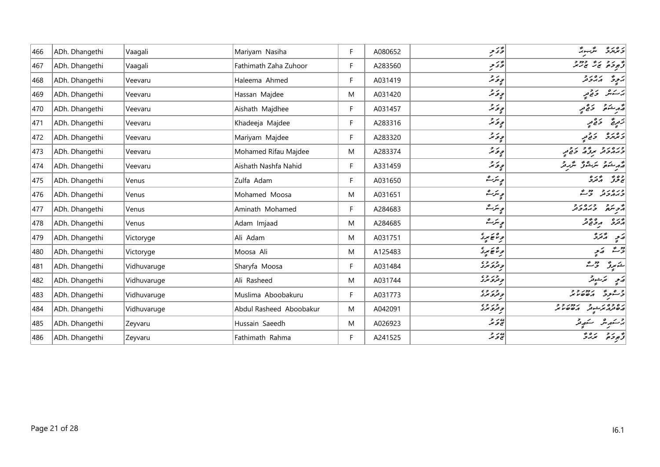| 466 | ADh. Dhangethi | Vaagali     | Mariyam Nasiha          | F | A080652 | عدّى محر                | پر ه پر ه<br>ىئرىبىدىز                                    |
|-----|----------------|-------------|-------------------------|---|---------|-------------------------|-----------------------------------------------------------|
| 467 | ADh. Dhangethi | Vaagali     | Fathimath Zaha Zuhoor   | F | A283560 | پی محر م                | و د د د د دود                                             |
| 468 | ADh. Dhangethi | Veevaru     | Haleema Ahmed           | F | A031419 | <sub>حو</sub> حه مر     | برَجِرةُ كَمَدَّدَتَر                                     |
| 469 | ADh. Dhangethi | Veevaru     | Hassan Majdee           | M | A031420 | <sub>عو</sub> عه تمر    | بر کے معرکب کر دیا جاتی ہے۔<br>برگستر کو محصولات          |
| 470 | ADh. Dhangethi | Veevaru     | Aishath Majdhee         | F | A031457 | <sub>عو</sub> عر تمر    | أشهر مشتمر وتحافي                                         |
| 471 | ADh. Dhangethi | Veevaru     | Khadeeja Majdee         | F | A283316 | و ځه نمر                | زَمِرِجٌ = وَقَعْرٍ                                       |
| 472 | ADh. Dhangethi | Veevaru     | Mariyam Majdee          | F | A283320 | <i>و ه</i> تر           | رەرە رور                                                  |
| 473 | ADh. Dhangethi | Veevaru     | Mohamed Rifau Majdee    | M | A283374 | <sub>عو</sub> عر تمر    | ورەرو بروو روپر                                           |
| 474 | ADh. Dhangethi | Veevaru     | Aishath Nashfa Nahid    | F | A331459 | جو ځر                   | ە ئەسكەم سەھۇم سەر ئىر                                    |
| 475 | ADh. Dhangethi | Venus       | Zulfa Adam              | F | A031650 | په پټر ک                | وه بو مصر و<br>  بح محر قر مرکز                           |
| 476 | ADh. Dhangethi | Venus       | Mohamed Moosa           | M | A031651 | ءِ سَرَتْہ              | و ره د د<br>د برگروتر                                     |
| 477 | ADh. Dhangethi | Venus       | Aminath Mohamed         | F | A284683 | <sub>حي</sub> سَر ٿ     | و ره ر و<br>تر پر ژ تر<br>ا پژ <sub>چر مترجی</sub>        |
| 478 | ADh. Dhangethi | Venus       | Adam Imjaad             | M | A284685 | ءِ سَرَتْہ              | ەر 3 قى قر<br>  پژنوژ                                     |
| 479 | ADh. Dhangethi | Victoryge   | Ali Adam                | M | A031751 | <i>ويد ع</i> َ مرِ بِي  | أەسم أوره                                                 |
| 480 | ADh. Dhangethi | Victoryge   | Moosa Ali               | M | A125483 | ه د عو مړي<br>ر         | احريحه وكمو                                               |
| 481 | ADh. Dhangethi | Vidhuvaruge | Sharyfa Moosa           | F | A031484 | و د د ه                 | دويم<br>ڪ مرقر<br>ح                                       |
| 482 | ADh. Dhangethi | Vidhuvaruge | Ali Rasheed             | M | A031744 | و ترو بر د ،<br>ر       | أة موسيقوقر                                               |
| 483 | ADh. Dhangethi | Vidhuvaruge | Muslima Aboobakuru      | F | A031773 | و تر و ،                | 7.7.272<br><sub>د</sub> ح شورٌ<br>x v o o s               |
| 484 | ADh. Dhangethi | Vidhuvaruge | Abdul Rasheed Aboobakur | M | A042091 | و د و ،<br>  و ترو بر د | 77777<br>ر 2010 ر<br>  پر کافرار مرشوفر<br>  پر کافرار مر |
| 485 | ADh. Dhangethi | Zeyvaru     | Hussain Saeedh          | M | A026923 | پر رح<br>  سی حر        | چە سەر شەر سەر يىتى                                       |
| 486 | ADh. Dhangethi | Zeyvaru     | Fathimath Rahma         | F | A241525 | رے ر<br> مح مر          | و ده ده و                                                 |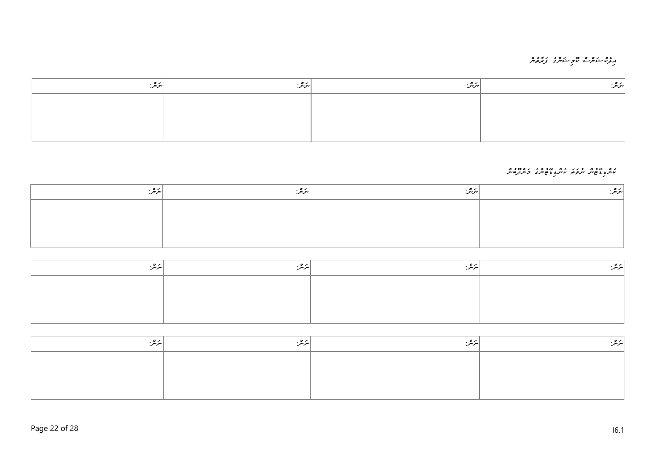## *w7qAn8m? sCw7mRo>u; wEw7mRw;sBo<*

| ' مرمر | 'يئرىثر: |
|--------|----------|
|        |          |
|        |          |
|        |          |

## *w7q9r@w7m> sCw7qHtFoFw7s; mAm=q7 w7qHtFoFw7s;*

| ىر تە | $\mathcal{O} \times$<br>$\sim$ | $\sim$<br>. . | لترنثر |
|-------|--------------------------------|---------------|--------|
|       |                                |               |        |
|       |                                |               |        |
|       |                                |               |        |

| يره | $^{\circ}$ | $\frac{2}{n}$ | $^{\circ}$<br>سرسر. |
|-----|------------|---------------|---------------------|
|     |            |               |                     |
|     |            |               |                     |
|     |            |               |                     |

| ىرتىر: | 。<br>سر سر | .,<br>مرسر |
|--------|------------|------------|
|        |            |            |
|        |            |            |
|        |            |            |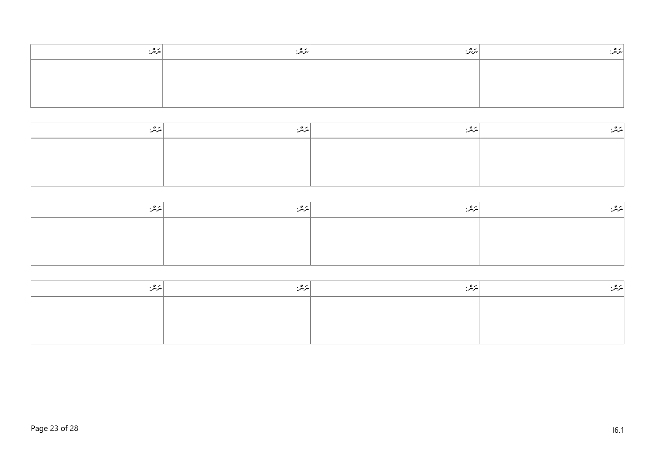| يزهر | $^{\circ}$ | ىئرىتر: |  |
|------|------------|---------|--|
|      |            |         |  |
|      |            |         |  |
|      |            |         |  |

| <sup>.</sup> سرسر. |  |
|--------------------|--|
|                    |  |
|                    |  |
|                    |  |

| ىئرىتر. | $\sim$ | ا بر هه. | لىرىش |
|---------|--------|----------|-------|
|         |        |          |       |
|         |        |          |       |
|         |        |          |       |

| 。<br>مرس. | $\overline{\phantom{a}}$<br>مر سر | يتريثر |
|-----------|-----------------------------------|--------|
|           |                                   |        |
|           |                                   |        |
|           |                                   |        |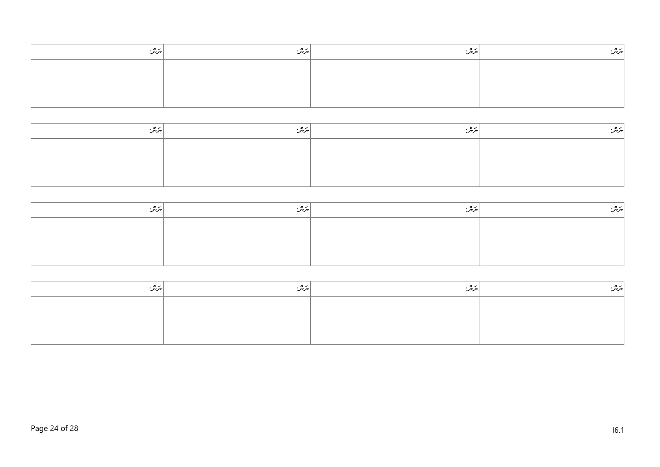| ير هو . | $\overline{\phantom{a}}$ | يرمر | اير هنه. |
|---------|--------------------------|------|----------|
|         |                          |      |          |
|         |                          |      |          |
|         |                          |      |          |

| ىر تىر: | $\circ$ $\sim$<br>" سرسر . | يترمير | o . |
|---------|----------------------------|--------|-----|
|         |                            |        |     |
|         |                            |        |     |
|         |                            |        |     |

| انترنثر: | ر ه |  |
|----------|-----|--|
|          |     |  |
|          |     |  |
|          |     |  |

|  | . ه |
|--|-----|
|  |     |
|  |     |
|  |     |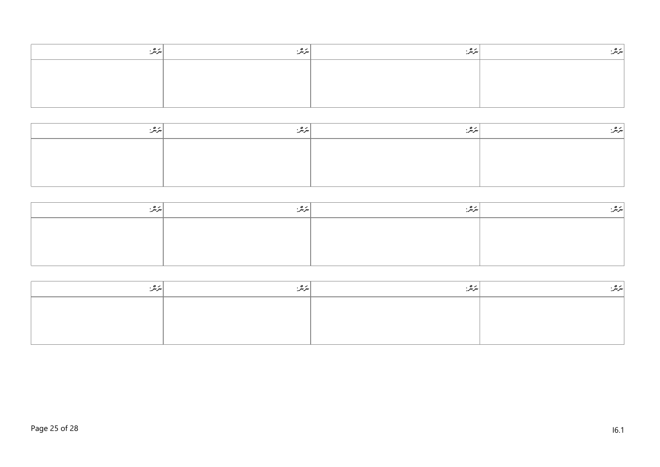| ير هو . | $\overline{\phantom{a}}$ | يرمر | اير هنه. |
|---------|--------------------------|------|----------|
|         |                          |      |          |
|         |                          |      |          |
|         |                          |      |          |

| ىر تىر: | $\circ$ $\sim$<br>" سرسر . | يترمير | o . |
|---------|----------------------------|--------|-----|
|         |                            |        |     |
|         |                            |        |     |
|         |                            |        |     |

| 'تترنثر: | 。<br>,,,, |  |
|----------|-----------|--|
|          |           |  |
|          |           |  |
|          |           |  |

|  | . ه |
|--|-----|
|  |     |
|  |     |
|  |     |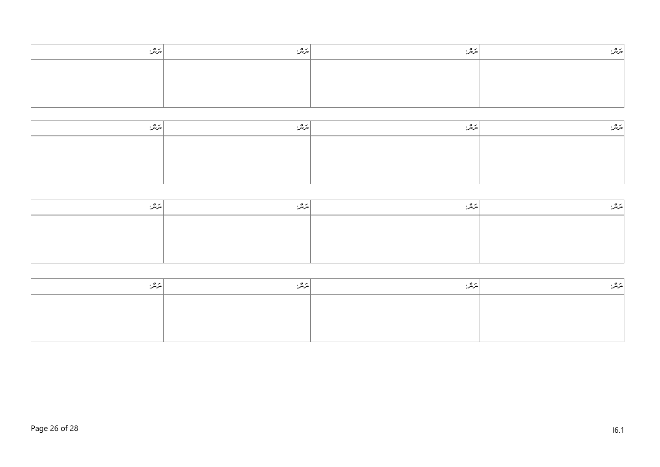| $\cdot$ | ο. | $\frac{\circ}{\cdot}$ | $\sim$<br>سرسر |
|---------|----|-----------------------|----------------|
|         |    |                       |                |
|         |    |                       |                |
|         |    |                       |                |

| يريثن | ' سرسر . |  |
|-------|----------|--|
|       |          |  |
|       |          |  |
|       |          |  |

| بر ه | 。 | $\sim$<br>َ سومس. |  |
|------|---|-------------------|--|
|      |   |                   |  |
|      |   |                   |  |
|      |   |                   |  |

| 。<br>. س | ىرىىر |  |
|----------|-------|--|
|          |       |  |
|          |       |  |
|          |       |  |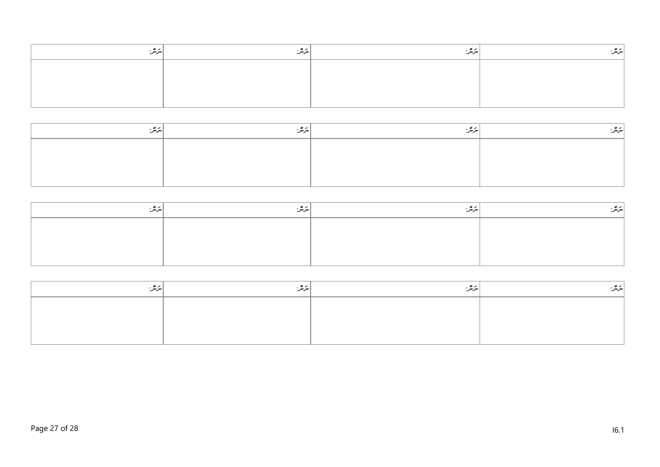| ير هو . | $\overline{\phantom{a}}$ | يرمر | لتزمثن |
|---------|--------------------------|------|--------|
|         |                          |      |        |
|         |                          |      |        |
|         |                          |      |        |

| ىر تىر: | $\circ$ $\sim$<br>" سرسر . | يترمير | o . |
|---------|----------------------------|--------|-----|
|         |                            |        |     |
|         |                            |        |     |
|         |                            |        |     |

| انترنثر: | ر ه |  |
|----------|-----|--|
|          |     |  |
|          |     |  |
|          |     |  |

|  | . ه |
|--|-----|
|  |     |
|  |     |
|  |     |